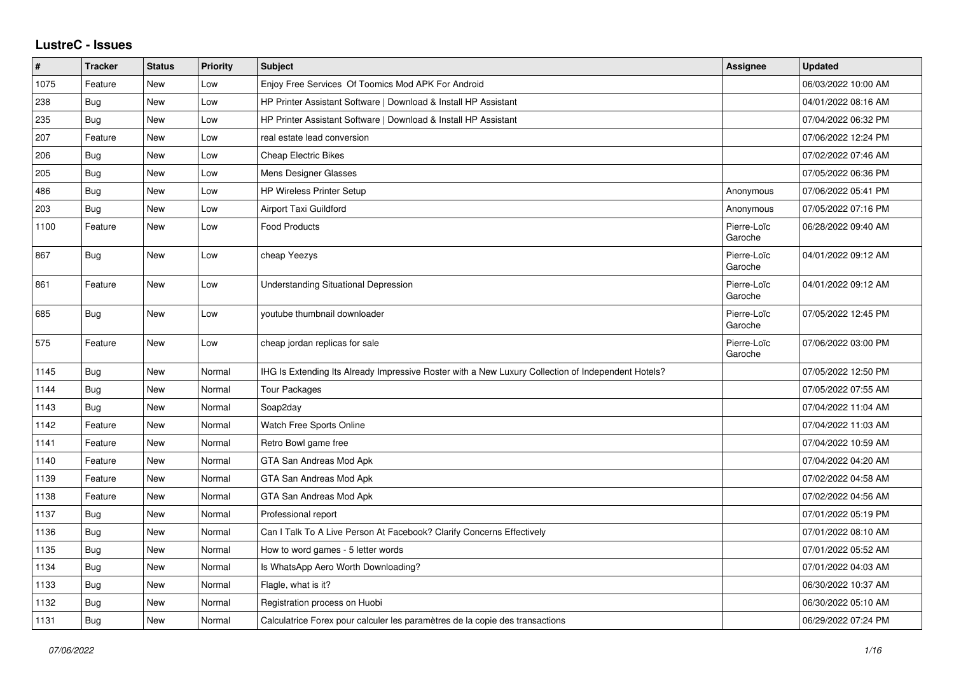## **LustreC - Issues**

| $\vert$ # | <b>Tracker</b> | <b>Status</b> | Priority | <b>Subject</b>                                                                                     | <b>Assignee</b>        | <b>Updated</b>      |
|-----------|----------------|---------------|----------|----------------------------------------------------------------------------------------------------|------------------------|---------------------|
| 1075      | Feature        | New           | Low      | Enjoy Free Services Of Toomics Mod APK For Android                                                 |                        | 06/03/2022 10:00 AM |
| 238       | Bug            | <b>New</b>    | Low      | HP Printer Assistant Software   Download & Install HP Assistant                                    |                        | 04/01/2022 08:16 AM |
| 235       | Bug            | New           | Low      | HP Printer Assistant Software   Download & Install HP Assistant                                    |                        | 07/04/2022 06:32 PM |
| 207       | Feature        | New           | Low      | real estate lead conversion                                                                        |                        | 07/06/2022 12:24 PM |
| 206       | <b>Bug</b>     | <b>New</b>    | Low      | <b>Cheap Electric Bikes</b>                                                                        |                        | 07/02/2022 07:46 AM |
| 205       | Bug            | New           | Low      | Mens Designer Glasses                                                                              |                        | 07/05/2022 06:36 PM |
| 486       | Bug            | New           | Low      | <b>HP Wireless Printer Setup</b>                                                                   | Anonymous              | 07/06/2022 05:41 PM |
| 203       | <b>Bug</b>     | <b>New</b>    | Low      | Airport Taxi Guildford                                                                             | Anonymous              | 07/05/2022 07:16 PM |
| 1100      | Feature        | New           | Low      | <b>Food Products</b>                                                                               | Pierre-Loïc<br>Garoche | 06/28/2022 09:40 AM |
| 867       | Bug            | New           | Low      | cheap Yeezys                                                                                       | Pierre-Loïc<br>Garoche | 04/01/2022 09:12 AM |
| 861       | Feature        | New           | Low      | <b>Understanding Situational Depression</b>                                                        | Pierre-Loïc<br>Garoche | 04/01/2022 09:12 AM |
| 685       | Bug            | New           | Low      | youtube thumbnail downloader                                                                       | Pierre-Loïc<br>Garoche | 07/05/2022 12:45 PM |
| 575       | Feature        | <b>New</b>    | Low      | cheap jordan replicas for sale                                                                     | Pierre-Loïc<br>Garoche | 07/06/2022 03:00 PM |
| 1145      | <b>Bug</b>     | <b>New</b>    | Normal   | IHG Is Extending Its Already Impressive Roster with a New Luxury Collection of Independent Hotels? |                        | 07/05/2022 12:50 PM |
| 1144      | Bug            | New           | Normal   | <b>Tour Packages</b>                                                                               |                        | 07/05/2022 07:55 AM |
| 1143      | <b>Bug</b>     | <b>New</b>    | Normal   | Soap2day                                                                                           |                        | 07/04/2022 11:04 AM |
| 1142      | Feature        | New           | Normal   | Watch Free Sports Online                                                                           |                        | 07/04/2022 11:03 AM |
| 1141      | Feature        | New           | Normal   | Retro Bowl game free                                                                               |                        | 07/04/2022 10:59 AM |
| 1140      | Feature        | New           | Normal   | GTA San Andreas Mod Apk                                                                            |                        | 07/04/2022 04:20 AM |
| 1139      | Feature        | New           | Normal   | GTA San Andreas Mod Apk                                                                            |                        | 07/02/2022 04:58 AM |
| 1138      | Feature        | New           | Normal   | GTA San Andreas Mod Apk                                                                            |                        | 07/02/2022 04:56 AM |
| 1137      | Bug            | New           | Normal   | Professional report                                                                                |                        | 07/01/2022 05:19 PM |
| 1136      | Bug            | New           | Normal   | Can I Talk To A Live Person At Facebook? Clarify Concerns Effectively                              |                        | 07/01/2022 08:10 AM |
| 1135      | <b>Bug</b>     | New           | Normal   | How to word games - 5 letter words                                                                 |                        | 07/01/2022 05:52 AM |
| 1134      | Bug            | New           | Normal   | Is WhatsApp Aero Worth Downloading?                                                                |                        | 07/01/2022 04:03 AM |
| 1133      | <b>Bug</b>     | New           | Normal   | Flagle, what is it?                                                                                |                        | 06/30/2022 10:37 AM |
| 1132      | Bug            | New           | Normal   | Registration process on Huobi                                                                      |                        | 06/30/2022 05:10 AM |
| 1131      | <b>Bug</b>     | New           | Normal   | Calculatrice Forex pour calculer les paramètres de la copie des transactions                       |                        | 06/29/2022 07:24 PM |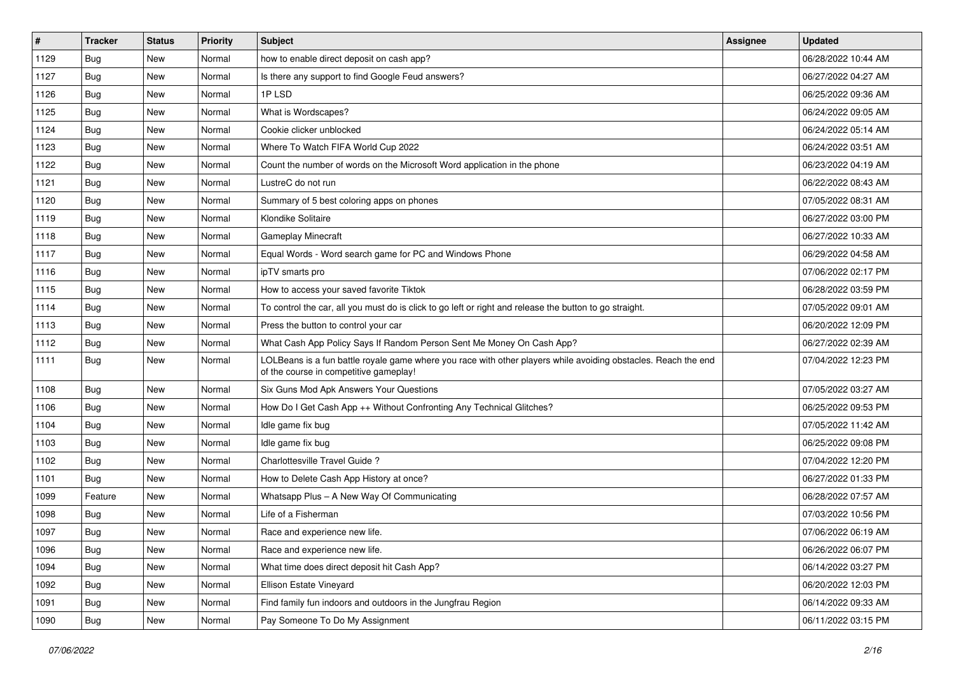| $\vert$ # | <b>Tracker</b> | <b>Status</b> | <b>Priority</b> | <b>Subject</b>                                                                                                                                           | <b>Assignee</b> | <b>Updated</b>      |
|-----------|----------------|---------------|-----------------|----------------------------------------------------------------------------------------------------------------------------------------------------------|-----------------|---------------------|
| 1129      | Bug            | New           | Normal          | how to enable direct deposit on cash app?                                                                                                                |                 | 06/28/2022 10:44 AM |
| 1127      | Bug            | <b>New</b>    | Normal          | Is there any support to find Google Feud answers?                                                                                                        |                 | 06/27/2022 04:27 AM |
| 1126      | <b>Bug</b>     | New           | Normal          | 1P LSD                                                                                                                                                   |                 | 06/25/2022 09:36 AM |
| 1125      | <b>Bug</b>     | New           | Normal          | What is Wordscapes?                                                                                                                                      |                 | 06/24/2022 09:05 AM |
| 1124      | Bug            | New           | Normal          | Cookie clicker unblocked                                                                                                                                 |                 | 06/24/2022 05:14 AM |
| 1123      | Bug            | New           | Normal          | Where To Watch FIFA World Cup 2022                                                                                                                       |                 | 06/24/2022 03:51 AM |
| 1122      | <b>Bug</b>     | New           | Normal          | Count the number of words on the Microsoft Word application in the phone                                                                                 |                 | 06/23/2022 04:19 AM |
| 1121      | Bug            | New           | Normal          | LustreC do not run                                                                                                                                       |                 | 06/22/2022 08:43 AM |
| 1120      | <b>Bug</b>     | New           | Normal          | Summary of 5 best coloring apps on phones                                                                                                                |                 | 07/05/2022 08:31 AM |
| 1119      | Bug            | New           | Normal          | Klondike Solitaire                                                                                                                                       |                 | 06/27/2022 03:00 PM |
| 1118      | Bug            | New           | Normal          | Gameplay Minecraft                                                                                                                                       |                 | 06/27/2022 10:33 AM |
| 1117      | Bug            | New           | Normal          | Equal Words - Word search game for PC and Windows Phone                                                                                                  |                 | 06/29/2022 04:58 AM |
| 1116      | Bug            | New           | Normal          | ipTV smarts pro                                                                                                                                          |                 | 07/06/2022 02:17 PM |
| 1115      | <b>Bug</b>     | New           | Normal          | How to access your saved favorite Tiktok                                                                                                                 |                 | 06/28/2022 03:59 PM |
| 1114      | <b>Bug</b>     | New           | Normal          | To control the car, all you must do is click to go left or right and release the button to go straight.                                                  |                 | 07/05/2022 09:01 AM |
| 1113      | <b>Bug</b>     | New           | Normal          | Press the button to control your car                                                                                                                     |                 | 06/20/2022 12:09 PM |
| 1112      | <b>Bug</b>     | New           | Normal          | What Cash App Policy Says If Random Person Sent Me Money On Cash App?                                                                                    |                 | 06/27/2022 02:39 AM |
| 1111      | Bug            | New           | Normal          | LOLBeans is a fun battle royale game where you race with other players while avoiding obstacles. Reach the end<br>of the course in competitive gameplay! |                 | 07/04/2022 12:23 PM |
| 1108      | Bug            | New           | Normal          | Six Guns Mod Apk Answers Your Questions                                                                                                                  |                 | 07/05/2022 03:27 AM |
| 1106      | Bug            | New           | Normal          | How Do I Get Cash App ++ Without Confronting Any Technical Glitches?                                                                                     |                 | 06/25/2022 09:53 PM |
| 1104      | Bug            | New           | Normal          | Idle game fix bug                                                                                                                                        |                 | 07/05/2022 11:42 AM |
| 1103      | Bug            | New           | Normal          | Idle game fix bug                                                                                                                                        |                 | 06/25/2022 09:08 PM |
| 1102      | <b>Bug</b>     | New           | Normal          | Charlottesville Travel Guide ?                                                                                                                           |                 | 07/04/2022 12:20 PM |
| 1101      | <b>Bug</b>     | New           | Normal          | How to Delete Cash App History at once?                                                                                                                  |                 | 06/27/2022 01:33 PM |
| 1099      | Feature        | New           | Normal          | Whatsapp Plus - A New Way Of Communicating                                                                                                               |                 | 06/28/2022 07:57 AM |
| 1098      | Bug            | New           | Normal          | Life of a Fisherman                                                                                                                                      |                 | 07/03/2022 10:56 PM |
| 1097      | <b>Bug</b>     | New           | Normal          | Race and experience new life.                                                                                                                            |                 | 07/06/2022 06:19 AM |
| 1096      | <b>Bug</b>     | New           | Normal          | Race and experience new life.                                                                                                                            |                 | 06/26/2022 06:07 PM |
| 1094      | <b>Bug</b>     | New           | Normal          | What time does direct deposit hit Cash App?                                                                                                              |                 | 06/14/2022 03:27 PM |
| 1092      | <b>Bug</b>     | New           | Normal          | Ellison Estate Vineyard                                                                                                                                  |                 | 06/20/2022 12:03 PM |
| 1091      | <b>Bug</b>     | New           | Normal          | Find family fun indoors and outdoors in the Jungfrau Region                                                                                              |                 | 06/14/2022 09:33 AM |
| 1090      | Bug            | New           | Normal          | Pay Someone To Do My Assignment                                                                                                                          |                 | 06/11/2022 03:15 PM |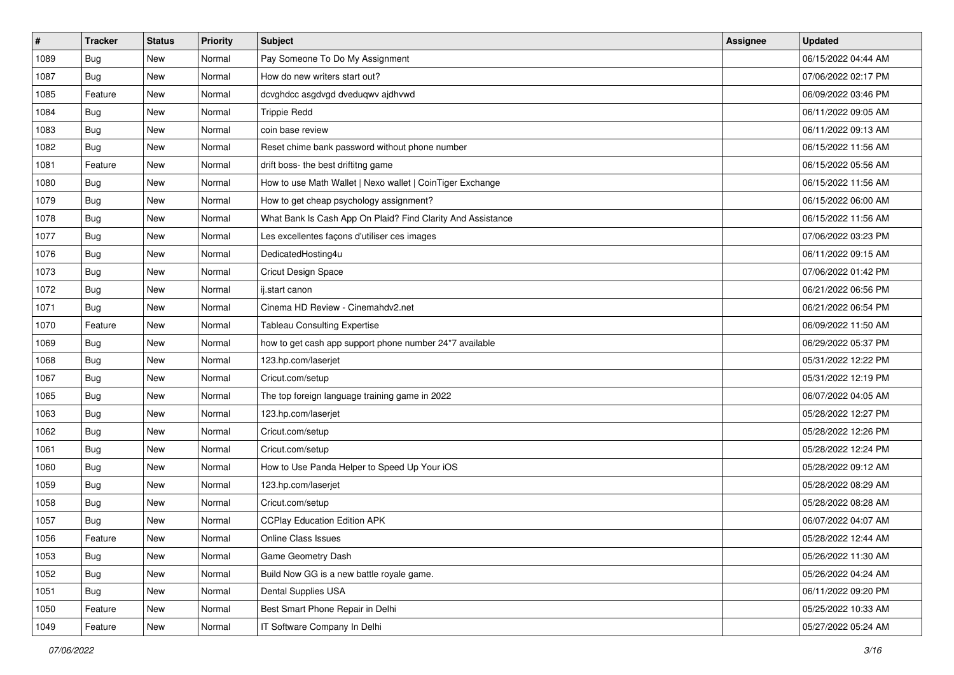| $\sharp$ | <b>Tracker</b> | <b>Status</b> | <b>Priority</b> | Subject                                                     | <b>Assignee</b> | <b>Updated</b>      |
|----------|----------------|---------------|-----------------|-------------------------------------------------------------|-----------------|---------------------|
| 1089     | <b>Bug</b>     | New           | Normal          | Pay Someone To Do My Assignment                             |                 | 06/15/2022 04:44 AM |
| 1087     | Bug            | New           | Normal          | How do new writers start out?                               |                 | 07/06/2022 02:17 PM |
| 1085     | Feature        | New           | Normal          | dcvghdcc asgdvgd dveduqwv ajdhvwd                           |                 | 06/09/2022 03:46 PM |
| 1084     | <b>Bug</b>     | New           | Normal          | <b>Trippie Redd</b>                                         |                 | 06/11/2022 09:05 AM |
| 1083     | Bug            | New           | Normal          | coin base review                                            |                 | 06/11/2022 09:13 AM |
| 1082     | Bug            | New           | Normal          | Reset chime bank password without phone number              |                 | 06/15/2022 11:56 AM |
| 1081     | Feature        | New           | Normal          | drift boss- the best driftitng game                         |                 | 06/15/2022 05:56 AM |
| 1080     | <b>Bug</b>     | New           | Normal          | How to use Math Wallet   Nexo wallet   CoinTiger Exchange   |                 | 06/15/2022 11:56 AM |
| 1079     | Bug            | New           | Normal          | How to get cheap psychology assignment?                     |                 | 06/15/2022 06:00 AM |
| 1078     | Bug            | New           | Normal          | What Bank Is Cash App On Plaid? Find Clarity And Assistance |                 | 06/15/2022 11:56 AM |
| 1077     | <b>Bug</b>     | New           | Normal          | Les excellentes façons d'utiliser ces images                |                 | 07/06/2022 03:23 PM |
| 1076     | <b>Bug</b>     | New           | Normal          | DedicatedHosting4u                                          |                 | 06/11/2022 09:15 AM |
| 1073     | Bug            | New           | Normal          | Cricut Design Space                                         |                 | 07/06/2022 01:42 PM |
| 1072     | Bug            | New           | Normal          | ij.start canon                                              |                 | 06/21/2022 06:56 PM |
| 1071     | <b>Bug</b>     | New           | Normal          | Cinema HD Review - Cinemahdv2.net                           |                 | 06/21/2022 06:54 PM |
| 1070     | Feature        | New           | Normal          | <b>Tableau Consulting Expertise</b>                         |                 | 06/09/2022 11:50 AM |
| 1069     | <b>Bug</b>     | New           | Normal          | how to get cash app support phone number 24*7 available     |                 | 06/29/2022 05:37 PM |
| 1068     | Bug            | New           | Normal          | 123.hp.com/laserjet                                         |                 | 05/31/2022 12:22 PM |
| 1067     | <b>Bug</b>     | New           | Normal          | Cricut.com/setup                                            |                 | 05/31/2022 12:19 PM |
| 1065     | Bug            | New           | Normal          | The top foreign language training game in 2022              |                 | 06/07/2022 04:05 AM |
| 1063     | <b>Bug</b>     | New           | Normal          | 123.hp.com/laserjet                                         |                 | 05/28/2022 12:27 PM |
| 1062     | Bug            | <b>New</b>    | Normal          | Cricut.com/setup                                            |                 | 05/28/2022 12:26 PM |
| 1061     | Bug            | New           | Normal          | Cricut.com/setup                                            |                 | 05/28/2022 12:24 PM |
| 1060     | <b>Bug</b>     | New           | Normal          | How to Use Panda Helper to Speed Up Your iOS                |                 | 05/28/2022 09:12 AM |
| 1059     | Bug            | New           | Normal          | 123.hp.com/laserjet                                         |                 | 05/28/2022 08:29 AM |
| 1058     | <b>Bug</b>     | New           | Normal          | Cricut.com/setup                                            |                 | 05/28/2022 08:28 AM |
| 1057     | <b>Bug</b>     | New           | Normal          | <b>CCPlay Education Edition APK</b>                         |                 | 06/07/2022 04:07 AM |
| 1056     | Feature        | New           | Normal          | Online Class Issues                                         |                 | 05/28/2022 12:44 AM |
| 1053     | <b>Bug</b>     | New           | Normal          | Game Geometry Dash                                          |                 | 05/26/2022 11:30 AM |
| 1052     | <b>Bug</b>     | New           | Normal          | Build Now GG is a new battle royale game.                   |                 | 05/26/2022 04:24 AM |
| 1051     | <b>Bug</b>     | New           | Normal          | Dental Supplies USA                                         |                 | 06/11/2022 09:20 PM |
| 1050     | Feature        | New           | Normal          | Best Smart Phone Repair in Delhi                            |                 | 05/25/2022 10:33 AM |
| 1049     | Feature        | New           | Normal          | IT Software Company In Delhi                                |                 | 05/27/2022 05:24 AM |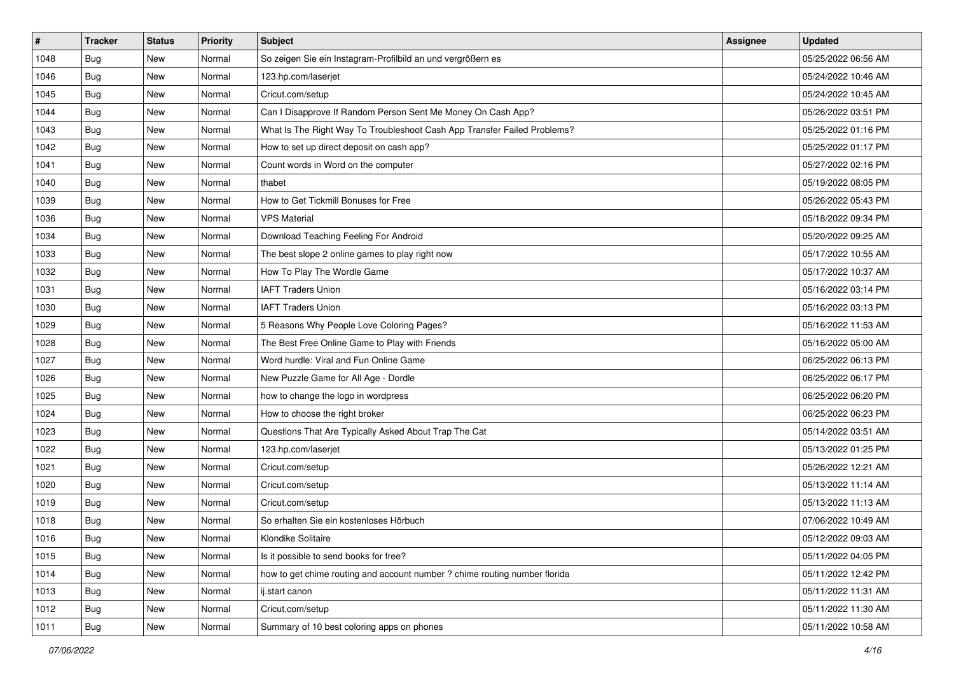| #    | <b>Tracker</b> | <b>Status</b> | <b>Priority</b> | <b>Subject</b>                                                             | <b>Assignee</b> | <b>Updated</b>      |
|------|----------------|---------------|-----------------|----------------------------------------------------------------------------|-----------------|---------------------|
| 1048 | <b>Bug</b>     | New           | Normal          | So zeigen Sie ein Instagram-Profilbild an und vergrößern es                |                 | 05/25/2022 06:56 AM |
| 1046 | <b>Bug</b>     | New           | Normal          | 123.hp.com/laserjet                                                        |                 | 05/24/2022 10:46 AM |
| 1045 | Bug            | New           | Normal          | Cricut.com/setup                                                           |                 | 05/24/2022 10:45 AM |
| 1044 | Bug            | New           | Normal          | Can I Disapprove If Random Person Sent Me Money On Cash App?               |                 | 05/26/2022 03:51 PM |
| 1043 | Bug            | New           | Normal          | What Is The Right Way To Troubleshoot Cash App Transfer Failed Problems?   |                 | 05/25/2022 01:16 PM |
| 1042 | Bug            | New           | Normal          | How to set up direct deposit on cash app?                                  |                 | 05/25/2022 01:17 PM |
| 1041 | Bug            | New           | Normal          | Count words in Word on the computer                                        |                 | 05/27/2022 02:16 PM |
| 1040 | <b>Bug</b>     | New           | Normal          | thabet                                                                     |                 | 05/19/2022 08:05 PM |
| 1039 | Bug            | New           | Normal          | How to Get Tickmill Bonuses for Free                                       |                 | 05/26/2022 05:43 PM |
| 1036 | <b>Bug</b>     | New           | Normal          | <b>VPS Material</b>                                                        |                 | 05/18/2022 09:34 PM |
| 1034 | <b>Bug</b>     | New           | Normal          | Download Teaching Feeling For Android                                      |                 | 05/20/2022 09:25 AM |
| 1033 | Bug            | New           | Normal          | The best slope 2 online games to play right now                            |                 | 05/17/2022 10:55 AM |
| 1032 | Bug            | New           | Normal          | How To Play The Wordle Game                                                |                 | 05/17/2022 10:37 AM |
| 1031 | Bug            | New           | Normal          | <b>IAFT Traders Union</b>                                                  |                 | 05/16/2022 03:14 PM |
| 1030 | Bug            | New           | Normal          | <b>IAFT Traders Union</b>                                                  |                 | 05/16/2022 03:13 PM |
| 1029 | <b>Bug</b>     | New           | Normal          | 5 Reasons Why People Love Coloring Pages?                                  |                 | 05/16/2022 11:53 AM |
| 1028 | <b>Bug</b>     | New           | Normal          | The Best Free Online Game to Play with Friends                             |                 | 05/16/2022 05:00 AM |
| 1027 | Bug            | New           | Normal          | Word hurdle: Viral and Fun Online Game                                     |                 | 06/25/2022 06:13 PM |
| 1026 | <b>Bug</b>     | New           | Normal          | New Puzzle Game for All Age - Dordle                                       |                 | 06/25/2022 06:17 PM |
| 1025 | <b>Bug</b>     | New           | Normal          | how to change the logo in wordpress                                        |                 | 06/25/2022 06:20 PM |
| 1024 | Bug            | New           | Normal          | How to choose the right broker                                             |                 | 06/25/2022 06:23 PM |
| 1023 | <b>Bug</b>     | New           | Normal          | Questions That Are Typically Asked About Trap The Cat                      |                 | 05/14/2022 03:51 AM |
| 1022 | Bug            | New           | Normal          | 123.hp.com/laserjet                                                        |                 | 05/13/2022 01:25 PM |
| 1021 | Bug            | New           | Normal          | Cricut.com/setup                                                           |                 | 05/26/2022 12:21 AM |
| 1020 | <b>Bug</b>     | New           | Normal          | Cricut.com/setup                                                           |                 | 05/13/2022 11:14 AM |
| 1019 | Bug            | New           | Normal          | Cricut.com/setup                                                           |                 | 05/13/2022 11:13 AM |
| 1018 | <b>Bug</b>     | New           | Normal          | So erhalten Sie ein kostenloses Hörbuch                                    |                 | 07/06/2022 10:49 AM |
| 1016 | <b>Bug</b>     | New           | Normal          | Klondike Solitaire                                                         |                 | 05/12/2022 09:03 AM |
| 1015 | <b>Bug</b>     | New           | Normal          | Is it possible to send books for free?                                     |                 | 05/11/2022 04:05 PM |
| 1014 | <b>Bug</b>     | New           | Normal          | how to get chime routing and account number ? chime routing number florida |                 | 05/11/2022 12:42 PM |
| 1013 | Bug            | New           | Normal          | ij.start canon                                                             |                 | 05/11/2022 11:31 AM |
| 1012 | Bug            | New           | Normal          | Cricut.com/setup                                                           |                 | 05/11/2022 11:30 AM |
| 1011 | <b>Bug</b>     | New           | Normal          | Summary of 10 best coloring apps on phones                                 |                 | 05/11/2022 10:58 AM |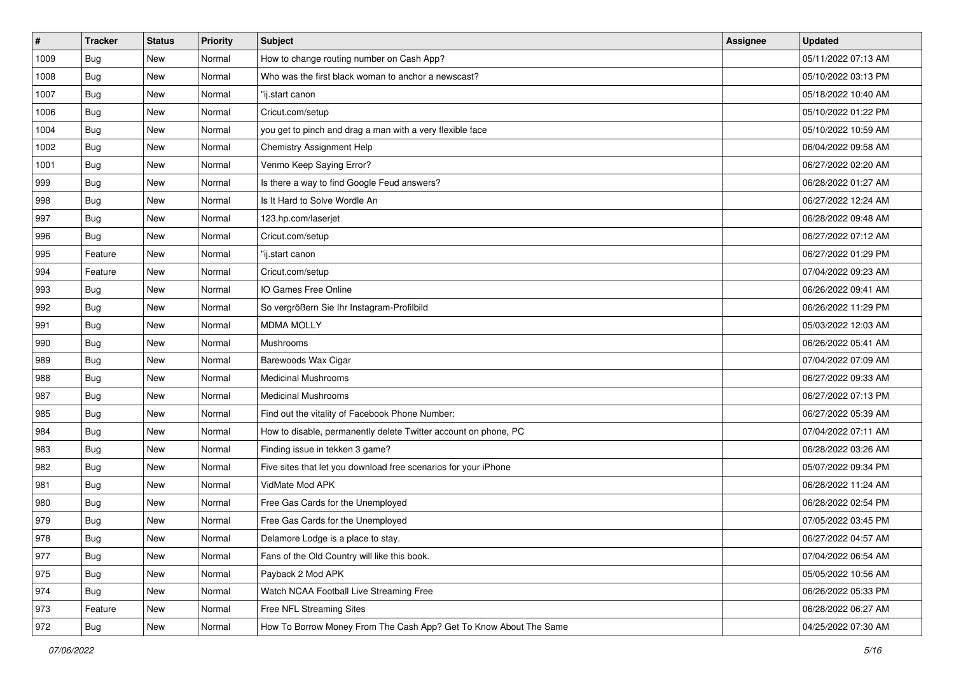| $\vert$ # | <b>Tracker</b> | <b>Status</b> | <b>Priority</b> | Subject                                                           | <b>Assignee</b> | <b>Updated</b>      |
|-----------|----------------|---------------|-----------------|-------------------------------------------------------------------|-----------------|---------------------|
| 1009      | <b>Bug</b>     | New           | Normal          | How to change routing number on Cash App?                         |                 | 05/11/2022 07:13 AM |
| 1008      | <b>Bug</b>     | New           | Normal          | Who was the first black woman to anchor a newscast?               |                 | 05/10/2022 03:13 PM |
| 1007      | Bug            | New           | Normal          | "ij.start canon                                                   |                 | 05/18/2022 10:40 AM |
| 1006      | <b>Bug</b>     | New           | Normal          | Cricut.com/setup                                                  |                 | 05/10/2022 01:22 PM |
| 1004      | Bug            | <b>New</b>    | Normal          | you get to pinch and drag a man with a very flexible face         |                 | 05/10/2022 10:59 AM |
| 1002      | Bug            | New           | Normal          | <b>Chemistry Assignment Help</b>                                  |                 | 06/04/2022 09:58 AM |
| 1001      | Bug            | New           | Normal          | Venmo Keep Saying Error?                                          |                 | 06/27/2022 02:20 AM |
| 999       | <b>Bug</b>     | New           | Normal          | Is there a way to find Google Feud answers?                       |                 | 06/28/2022 01:27 AM |
| 998       | <b>Bug</b>     | New           | Normal          | Is It Hard to Solve Wordle An                                     |                 | 06/27/2022 12:24 AM |
| 997       | <b>Bug</b>     | New           | Normal          | 123.hp.com/laserjet                                               |                 | 06/28/2022 09:48 AM |
| 996       | <b>Bug</b>     | New           | Normal          | Cricut.com/setup                                                  |                 | 06/27/2022 07:12 AM |
| 995       | Feature        | New           | Normal          | "ij.start canon                                                   |                 | 06/27/2022 01:29 PM |
| 994       | Feature        | New           | Normal          | Cricut.com/setup                                                  |                 | 07/04/2022 09:23 AM |
| 993       | Bug            | New           | Normal          | IO Games Free Online                                              |                 | 06/26/2022 09:41 AM |
| 992       | Bug            | New           | Normal          | So vergrößern Sie Ihr Instagram-Profilbild                        |                 | 06/26/2022 11:29 PM |
| 991       | Bug            | New           | Normal          | <b>MDMA MOLLY</b>                                                 |                 | 05/03/2022 12:03 AM |
| 990       | <b>Bug</b>     | New           | Normal          | Mushrooms                                                         |                 | 06/26/2022 05:41 AM |
| 989       | <b>Bug</b>     | <b>New</b>    | Normal          | Barewoods Wax Cigar                                               |                 | 07/04/2022 07:09 AM |
| 988       | Bug            | New           | Normal          | <b>Medicinal Mushrooms</b>                                        |                 | 06/27/2022 09:33 AM |
| 987       | <b>Bug</b>     | New           | Normal          | <b>Medicinal Mushrooms</b>                                        |                 | 06/27/2022 07:13 PM |
| 985       | Bug            | New           | Normal          | Find out the vitality of Facebook Phone Number:                   |                 | 06/27/2022 05:39 AM |
| 984       | <b>Bug</b>     | New           | Normal          | How to disable, permanently delete Twitter account on phone, PC   |                 | 07/04/2022 07:11 AM |
| 983       | <b>Bug</b>     | New           | Normal          | Finding issue in tekken 3 game?                                   |                 | 06/28/2022 03:26 AM |
| 982       | <b>Bug</b>     | New           | Normal          | Five sites that let you download free scenarios for your iPhone   |                 | 05/07/2022 09:34 PM |
| 981       | Bug            | New           | Normal          | VidMate Mod APK                                                   |                 | 06/28/2022 11:24 AM |
| 980       | Bug            | New           | Normal          | Free Gas Cards for the Unemployed                                 |                 | 06/28/2022 02:54 PM |
| 979       | <b>Bug</b>     | New           | Normal          | Free Gas Cards for the Unemployed                                 |                 | 07/05/2022 03:45 PM |
| 978       | I Bug          | New           | Normal          | Delamore Lodge is a place to stay.                                |                 | 06/27/2022 04:57 AM |
| 977       | <b>Bug</b>     | New           | Normal          | Fans of the Old Country will like this book.                      |                 | 07/04/2022 06:54 AM |
| 975       | <b>Bug</b>     | New           | Normal          | Payback 2 Mod APK                                                 |                 | 05/05/2022 10:56 AM |
| 974       | Bug            | New           | Normal          | Watch NCAA Football Live Streaming Free                           |                 | 06/26/2022 05:33 PM |
| 973       | Feature        | New           | Normal          | Free NFL Streaming Sites                                          |                 | 06/28/2022 06:27 AM |
| 972       | <b>Bug</b>     | New           | Normal          | How To Borrow Money From The Cash App? Get To Know About The Same |                 | 04/25/2022 07:30 AM |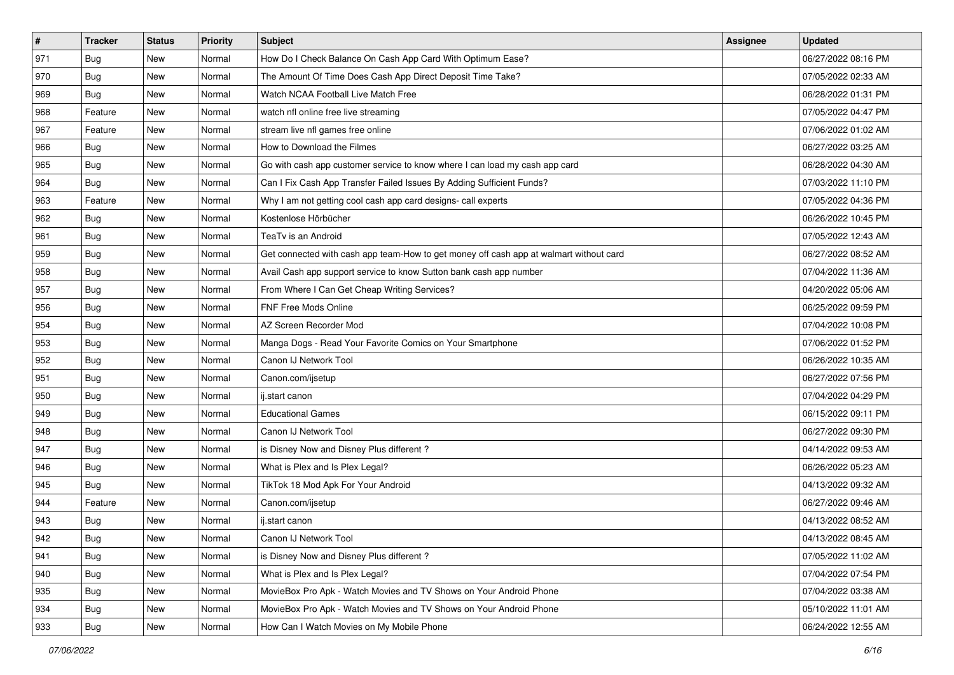| $\sharp$ | <b>Tracker</b> | <b>Status</b> | <b>Priority</b> | Subject                                                                                | <b>Assignee</b> | <b>Updated</b>      |
|----------|----------------|---------------|-----------------|----------------------------------------------------------------------------------------|-----------------|---------------------|
| 971      | <b>Bug</b>     | New           | Normal          | How Do I Check Balance On Cash App Card With Optimum Ease?                             |                 | 06/27/2022 08:16 PM |
| 970      | Bug            | New           | Normal          | The Amount Of Time Does Cash App Direct Deposit Time Take?                             |                 | 07/05/2022 02:33 AM |
| 969      | Bug            | New           | Normal          | Watch NCAA Football Live Match Free                                                    |                 | 06/28/2022 01:31 PM |
| 968      | Feature        | New           | Normal          | watch nfl online free live streaming                                                   |                 | 07/05/2022 04:47 PM |
| 967      | Feature        | New           | Normal          | stream live nfl games free online                                                      |                 | 07/06/2022 01:02 AM |
| 966      | Bug            | New           | Normal          | How to Download the Filmes                                                             |                 | 06/27/2022 03:25 AM |
| 965      | Bug            | New           | Normal          | Go with cash app customer service to know where I can load my cash app card            |                 | 06/28/2022 04:30 AM |
| 964      | <b>Bug</b>     | New           | Normal          | Can I Fix Cash App Transfer Failed Issues By Adding Sufficient Funds?                  |                 | 07/03/2022 11:10 PM |
| 963      | Feature        | New           | Normal          | Why I am not getting cool cash app card designs- call experts                          |                 | 07/05/2022 04:36 PM |
| 962      | <b>Bug</b>     | New           | Normal          | Kostenlose Hörbücher                                                                   |                 | 06/26/2022 10:45 PM |
| 961      | Bug            | New           | Normal          | TeaTv is an Android                                                                    |                 | 07/05/2022 12:43 AM |
| 959      | Bug            | New           | Normal          | Get connected with cash app team-How to get money off cash app at walmart without card |                 | 06/27/2022 08:52 AM |
| 958      | Bug            | New           | Normal          | Avail Cash app support service to know Sutton bank cash app number                     |                 | 07/04/2022 11:36 AM |
| 957      | <b>Bug</b>     | New           | Normal          | From Where I Can Get Cheap Writing Services?                                           |                 | 04/20/2022 05:06 AM |
| 956      | <b>Bug</b>     | New           | Normal          | <b>FNF Free Mods Online</b>                                                            |                 | 06/25/2022 09:59 PM |
| 954      | Bug            | New           | Normal          | AZ Screen Recorder Mod                                                                 |                 | 07/04/2022 10:08 PM |
| 953      | <b>Bug</b>     | <b>New</b>    | Normal          | Manga Dogs - Read Your Favorite Comics on Your Smartphone                              |                 | 07/06/2022 01:52 PM |
| 952      | Bug            | New           | Normal          | Canon IJ Network Tool                                                                  |                 | 06/26/2022 10:35 AM |
| 951      | <b>Bug</b>     | New           | Normal          | Canon.com/ijsetup                                                                      |                 | 06/27/2022 07:56 PM |
| 950      | Bug            | New           | Normal          | ij.start canon                                                                         |                 | 07/04/2022 04:29 PM |
| 949      | <b>Bug</b>     | New           | Normal          | <b>Educational Games</b>                                                               |                 | 06/15/2022 09:11 PM |
| 948      | Bug            | New           | Normal          | Canon IJ Network Tool                                                                  |                 | 06/27/2022 09:30 PM |
| 947      | Bug            | New           | Normal          | is Disney Now and Disney Plus different?                                               |                 | 04/14/2022 09:53 AM |
| 946      | <b>Bug</b>     | New           | Normal          | What is Plex and Is Plex Legal?                                                        |                 | 06/26/2022 05:23 AM |
| 945      | Bug            | New           | Normal          | TikTok 18 Mod Apk For Your Android                                                     |                 | 04/13/2022 09:32 AM |
| 944      | Feature        | New           | Normal          | Canon.com/ijsetup                                                                      |                 | 06/27/2022 09:46 AM |
| 943      | Bug            | New           | Normal          | ij.start canon                                                                         |                 | 04/13/2022 08:52 AM |
| 942      | <b>Bug</b>     | New           | Normal          | Canon IJ Network Tool                                                                  |                 | 04/13/2022 08:45 AM |
| 941      | Bug            | New           | Normal          | is Disney Now and Disney Plus different?                                               |                 | 07/05/2022 11:02 AM |
| 940      | <b>Bug</b>     | New           | Normal          | What is Plex and Is Plex Legal?                                                        |                 | 07/04/2022 07:54 PM |
| 935      | Bug            | New           | Normal          | MovieBox Pro Apk - Watch Movies and TV Shows on Your Android Phone                     |                 | 07/04/2022 03:38 AM |
| 934      | <b>Bug</b>     | New           | Normal          | MovieBox Pro Apk - Watch Movies and TV Shows on Your Android Phone                     |                 | 05/10/2022 11:01 AM |
| 933      | <b>Bug</b>     | New           | Normal          | How Can I Watch Movies on My Mobile Phone                                              |                 | 06/24/2022 12:55 AM |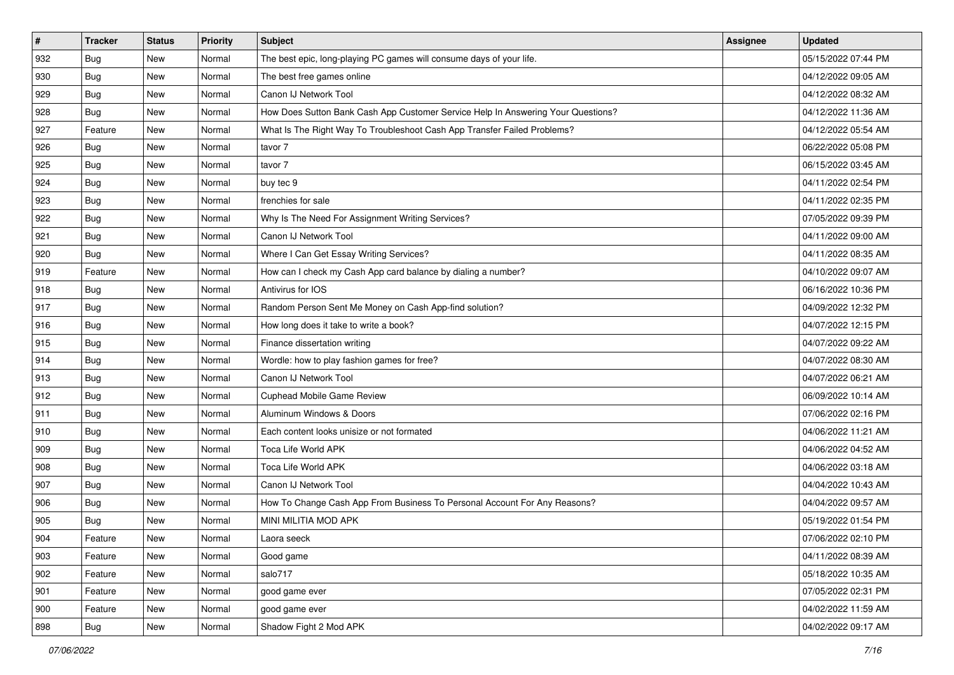| $\vert$ # | <b>Tracker</b> | <b>Status</b> | <b>Priority</b> | <b>Subject</b>                                                                   | <b>Assignee</b> | <b>Updated</b>      |
|-----------|----------------|---------------|-----------------|----------------------------------------------------------------------------------|-----------------|---------------------|
| 932       | <b>Bug</b>     | New           | Normal          | The best epic, long-playing PC games will consume days of your life.             |                 | 05/15/2022 07:44 PM |
| 930       | Bug            | New           | Normal          | The best free games online                                                       |                 | 04/12/2022 09:05 AM |
| 929       | Bug            | New           | Normal          | Canon IJ Network Tool                                                            |                 | 04/12/2022 08:32 AM |
| 928       | <b>Bug</b>     | New           | Normal          | How Does Sutton Bank Cash App Customer Service Help In Answering Your Questions? |                 | 04/12/2022 11:36 AM |
| 927       | Feature        | New           | Normal          | What Is The Right Way To Troubleshoot Cash App Transfer Failed Problems?         |                 | 04/12/2022 05:54 AM |
| 926       | Bug            | New           | Normal          | tavor 7                                                                          |                 | 06/22/2022 05:08 PM |
| 925       | Bug            | New           | Normal          | tavor 7                                                                          |                 | 06/15/2022 03:45 AM |
| 924       | Bug            | <b>New</b>    | Normal          | buy tec 9                                                                        |                 | 04/11/2022 02:54 PM |
| 923       | Bug            | New           | Normal          | frenchies for sale                                                               |                 | 04/11/2022 02:35 PM |
| 922       | Bug            | New           | Normal          | Why Is The Need For Assignment Writing Services?                                 |                 | 07/05/2022 09:39 PM |
| 921       | <b>Bug</b>     | New           | Normal          | Canon IJ Network Tool                                                            |                 | 04/11/2022 09:00 AM |
| 920       | <b>Bug</b>     | <b>New</b>    | Normal          | Where I Can Get Essay Writing Services?                                          |                 | 04/11/2022 08:35 AM |
| 919       | Feature        | New           | Normal          | How can I check my Cash App card balance by dialing a number?                    |                 | 04/10/2022 09:07 AM |
| 918       | <b>Bug</b>     | New           | Normal          | Antivirus for IOS                                                                |                 | 06/16/2022 10:36 PM |
| 917       | Bug            | New           | Normal          | Random Person Sent Me Money on Cash App-find solution?                           |                 | 04/09/2022 12:32 PM |
| 916       | Bug            | New           | Normal          | How long does it take to write a book?                                           |                 | 04/07/2022 12:15 PM |
| 915       | Bug            | New           | Normal          | Finance dissertation writing                                                     |                 | 04/07/2022 09:22 AM |
| 914       | Bug            | New           | Normal          | Wordle: how to play fashion games for free?                                      |                 | 04/07/2022 08:30 AM |
| 913       | <b>Bug</b>     | New           | Normal          | Canon IJ Network Tool                                                            |                 | 04/07/2022 06:21 AM |
| 912       | Bug            | New           | Normal          | <b>Cuphead Mobile Game Review</b>                                                |                 | 06/09/2022 10:14 AM |
| 911       | Bug            | <b>New</b>    | Normal          | Aluminum Windows & Doors                                                         |                 | 07/06/2022 02:16 PM |
| 910       | Bug            | New           | Normal          | Each content looks unisize or not formated                                       |                 | 04/06/2022 11:21 AM |
| 909       | <b>Bug</b>     | New           | Normal          | Toca Life World APK                                                              |                 | 04/06/2022 04:52 AM |
| 908       | <b>Bug</b>     | New           | Normal          | Toca Life World APK                                                              |                 | 04/06/2022 03:18 AM |
| 907       | Bug            | New           | Normal          | Canon IJ Network Tool                                                            |                 | 04/04/2022 10:43 AM |
| 906       | Bug            | New           | Normal          | How To Change Cash App From Business To Personal Account For Any Reasons?        |                 | 04/04/2022 09:57 AM |
| 905       | <b>Bug</b>     | New           | Normal          | MINI MILITIA MOD APK                                                             |                 | 05/19/2022 01:54 PM |
| 904       | Feature        | New           | Normal          | Laora seeck                                                                      |                 | 07/06/2022 02:10 PM |
| 903       | Feature        | New           | Normal          | Good game                                                                        |                 | 04/11/2022 08:39 AM |
| 902       | Feature        | New           | Normal          | salo717                                                                          |                 | 05/18/2022 10:35 AM |
| 901       | Feature        | New           | Normal          | good game ever                                                                   |                 | 07/05/2022 02:31 PM |
| 900       | Feature        | New           | Normal          | good game ever                                                                   |                 | 04/02/2022 11:59 AM |
| 898       | <b>Bug</b>     | New           | Normal          | Shadow Fight 2 Mod APK                                                           |                 | 04/02/2022 09:17 AM |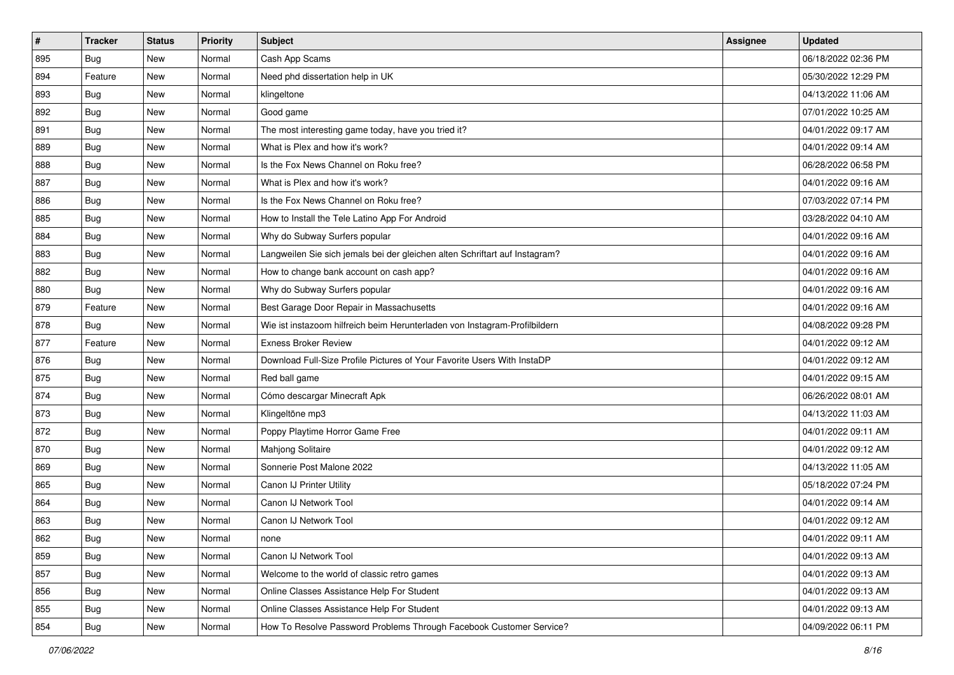| $\sharp$ | <b>Tracker</b> | <b>Status</b> | <b>Priority</b> | <b>Subject</b>                                                              | <b>Assignee</b> | <b>Updated</b>      |
|----------|----------------|---------------|-----------------|-----------------------------------------------------------------------------|-----------------|---------------------|
| 895      | <b>Bug</b>     | New           | Normal          | Cash App Scams                                                              |                 | 06/18/2022 02:36 PM |
| 894      | Feature        | New           | Normal          | Need phd dissertation help in UK                                            |                 | 05/30/2022 12:29 PM |
| 893      | Bug            | New           | Normal          | klingeltone                                                                 |                 | 04/13/2022 11:06 AM |
| 892      | Bug            | New           | Normal          | Good game                                                                   |                 | 07/01/2022 10:25 AM |
| 891      | Bug            | New           | Normal          | The most interesting game today, have you tried it?                         |                 | 04/01/2022 09:17 AM |
| 889      | Bug            | New           | Normal          | What is Plex and how it's work?                                             |                 | 04/01/2022 09:14 AM |
| 888      | Bug            | New           | Normal          | Is the Fox News Channel on Roku free?                                       |                 | 06/28/2022 06:58 PM |
| 887      | <b>Bug</b>     | New           | Normal          | What is Plex and how it's work?                                             |                 | 04/01/2022 09:16 AM |
| 886      | Bug            | New           | Normal          | Is the Fox News Channel on Roku free?                                       |                 | 07/03/2022 07:14 PM |
| 885      | Bug            | New           | Normal          | How to Install the Tele Latino App For Android                              |                 | 03/28/2022 04:10 AM |
| 884      | <b>Bug</b>     | New           | Normal          | Why do Subway Surfers popular                                               |                 | 04/01/2022 09:16 AM |
| 883      | <b>Bug</b>     | New           | Normal          | Langweilen Sie sich jemals bei der gleichen alten Schriftart auf Instagram? |                 | 04/01/2022 09:16 AM |
| 882      | Bug            | New           | Normal          | How to change bank account on cash app?                                     |                 | 04/01/2022 09:16 AM |
| 880      | Bug            | New           | Normal          | Why do Subway Surfers popular                                               |                 | 04/01/2022 09:16 AM |
| 879      | Feature        | New           | Normal          | Best Garage Door Repair in Massachusetts                                    |                 | 04/01/2022 09:16 AM |
| 878      | Bug            | New           | Normal          | Wie ist instazoom hilfreich beim Herunterladen von Instagram-Profilbildern  |                 | 04/08/2022 09:28 PM |
| 877      | Feature        | New           | Normal          | <b>Exness Broker Review</b>                                                 |                 | 04/01/2022 09:12 AM |
| 876      | Bug            | New           | Normal          | Download Full-Size Profile Pictures of Your Favorite Users With InstaDP     |                 | 04/01/2022 09:12 AM |
| 875      | Bug            | New           | Normal          | Red ball game                                                               |                 | 04/01/2022 09:15 AM |
| 874      | Bug            | New           | Normal          | Cómo descargar Minecraft Apk                                                |                 | 06/26/2022 08:01 AM |
| 873      | Bug            | New           | Normal          | Klingeltöne mp3                                                             |                 | 04/13/2022 11:03 AM |
| 872      | Bug            | <b>New</b>    | Normal          | Poppy Playtime Horror Game Free                                             |                 | 04/01/2022 09:11 AM |
| 870      | Bug            | New           | Normal          | <b>Mahjong Solitaire</b>                                                    |                 | 04/01/2022 09:12 AM |
| 869      | <b>Bug</b>     | New           | Normal          | Sonnerie Post Malone 2022                                                   |                 | 04/13/2022 11:05 AM |
| 865      | Bug            | New           | Normal          | Canon IJ Printer Utility                                                    |                 | 05/18/2022 07:24 PM |
| 864      | Bug            | New           | Normal          | Canon IJ Network Tool                                                       |                 | 04/01/2022 09:14 AM |
| 863      | <b>Bug</b>     | New           | Normal          | Canon IJ Network Tool                                                       |                 | 04/01/2022 09:12 AM |
| 862      | <b>Bug</b>     | New           | Normal          | none                                                                        |                 | 04/01/2022 09:11 AM |
| 859      | <b>Bug</b>     | New           | Normal          | Canon IJ Network Tool                                                       |                 | 04/01/2022 09:13 AM |
| 857      | <b>Bug</b>     | New           | Normal          | Welcome to the world of classic retro games                                 |                 | 04/01/2022 09:13 AM |
| 856      | <b>Bug</b>     | New           | Normal          | Online Classes Assistance Help For Student                                  |                 | 04/01/2022 09:13 AM |
| 855      | <b>Bug</b>     | New           | Normal          | Online Classes Assistance Help For Student                                  |                 | 04/01/2022 09:13 AM |
| 854      | Bug            | New           | Normal          | How To Resolve Password Problems Through Facebook Customer Service?         |                 | 04/09/2022 06:11 PM |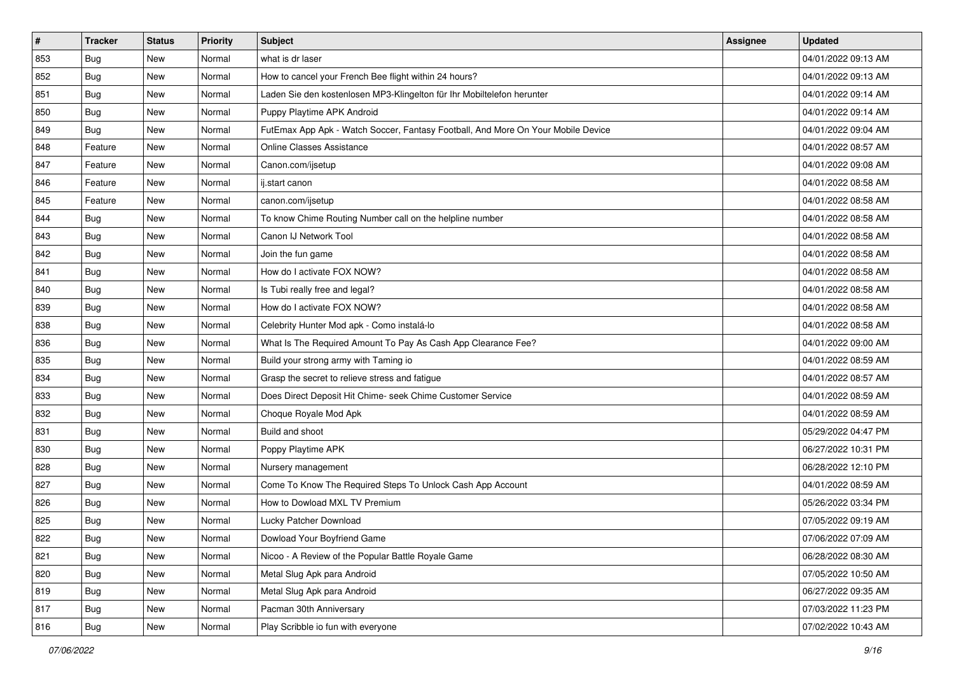| $\sharp$ | <b>Tracker</b> | <b>Status</b> | <b>Priority</b> | <b>Subject</b>                                                                   | <b>Assignee</b> | <b>Updated</b>      |
|----------|----------------|---------------|-----------------|----------------------------------------------------------------------------------|-----------------|---------------------|
| 853      | <b>Bug</b>     | New           | Normal          | what is dr laser                                                                 |                 | 04/01/2022 09:13 AM |
| 852      | <b>Bug</b>     | New           | Normal          | How to cancel your French Bee flight within 24 hours?                            |                 | 04/01/2022 09:13 AM |
| 851      | Bug            | New           | Normal          | Laden Sie den kostenlosen MP3-Klingelton für Ihr Mobiltelefon herunter           |                 | 04/01/2022 09:14 AM |
| 850      | Bug            | New           | Normal          | Puppy Playtime APK Android                                                       |                 | 04/01/2022 09:14 AM |
| 849      | Bug            | New           | Normal          | FutEmax App Apk - Watch Soccer, Fantasy Football, And More On Your Mobile Device |                 | 04/01/2022 09:04 AM |
| 848      | Feature        | New           | Normal          | <b>Online Classes Assistance</b>                                                 |                 | 04/01/2022 08:57 AM |
| 847      | Feature        | New           | Normal          | Canon.com/ijsetup                                                                |                 | 04/01/2022 09:08 AM |
| 846      | Feature        | New           | Normal          | ij.start canon                                                                   |                 | 04/01/2022 08:58 AM |
| 845      | Feature        | New           | Normal          | canon.com/ijsetup                                                                |                 | 04/01/2022 08:58 AM |
| 844      | Bug            | New           | Normal          | To know Chime Routing Number call on the helpline number                         |                 | 04/01/2022 08:58 AM |
| 843      | <b>Bug</b>     | New           | Normal          | Canon IJ Network Tool                                                            |                 | 04/01/2022 08:58 AM |
| 842      | Bug            | New           | Normal          | Join the fun game                                                                |                 | 04/01/2022 08:58 AM |
| 841      | Bug            | New           | Normal          | How do I activate FOX NOW?                                                       |                 | 04/01/2022 08:58 AM |
| 840      | Bug            | New           | Normal          | Is Tubi really free and legal?                                                   |                 | 04/01/2022 08:58 AM |
| 839      | Bug            | New           | Normal          | How do I activate FOX NOW?                                                       |                 | 04/01/2022 08:58 AM |
| 838      | Bug            | New           | Normal          | Celebrity Hunter Mod apk - Como instalá-lo                                       |                 | 04/01/2022 08:58 AM |
| 836      | Bug            | New           | Normal          | What Is The Required Amount To Pay As Cash App Clearance Fee?                    |                 | 04/01/2022 09:00 AM |
| 835      | Bug            | New           | Normal          | Build your strong army with Taming io                                            |                 | 04/01/2022 08:59 AM |
| 834      | Bug            | New           | Normal          | Grasp the secret to relieve stress and fatigue                                   |                 | 04/01/2022 08:57 AM |
| 833      | Bug            | New           | Normal          | Does Direct Deposit Hit Chime- seek Chime Customer Service                       |                 | 04/01/2022 08:59 AM |
| 832      | Bug            | New           | Normal          | Choque Royale Mod Apk                                                            |                 | 04/01/2022 08:59 AM |
| 831      | Bug            | New           | Normal          | Build and shoot                                                                  |                 | 05/29/2022 04:47 PM |
| 830      | Bug            | New           | Normal          | Poppy Playtime APK                                                               |                 | 06/27/2022 10:31 PM |
| 828      | <b>Bug</b>     | New           | Normal          | Nursery management                                                               |                 | 06/28/2022 12:10 PM |
| 827      | Bug            | New           | Normal          | Come To Know The Required Steps To Unlock Cash App Account                       |                 | 04/01/2022 08:59 AM |
| 826      | Bug            | New           | Normal          | How to Dowload MXL TV Premium                                                    |                 | 05/26/2022 03:34 PM |
| 825      | <b>Bug</b>     | New           | Normal          | Lucky Patcher Download                                                           |                 | 07/05/2022 09:19 AM |
| 822      | <b>Bug</b>     | New           | Normal          | Dowload Your Boyfriend Game                                                      |                 | 07/06/2022 07:09 AM |
| 821      | <b>Bug</b>     | New           | Normal          | Nicoo - A Review of the Popular Battle Royale Game                               |                 | 06/28/2022 08:30 AM |
| 820      | <b>Bug</b>     | New           | Normal          | Metal Slug Apk para Android                                                      |                 | 07/05/2022 10:50 AM |
| 819      | <b>Bug</b>     | New           | Normal          | Metal Slug Apk para Android                                                      |                 | 06/27/2022 09:35 AM |
| 817      | <b>Bug</b>     | New           | Normal          | Pacman 30th Anniversary                                                          |                 | 07/03/2022 11:23 PM |
| 816      | <b>Bug</b>     | New           | Normal          | Play Scribble io fun with everyone                                               |                 | 07/02/2022 10:43 AM |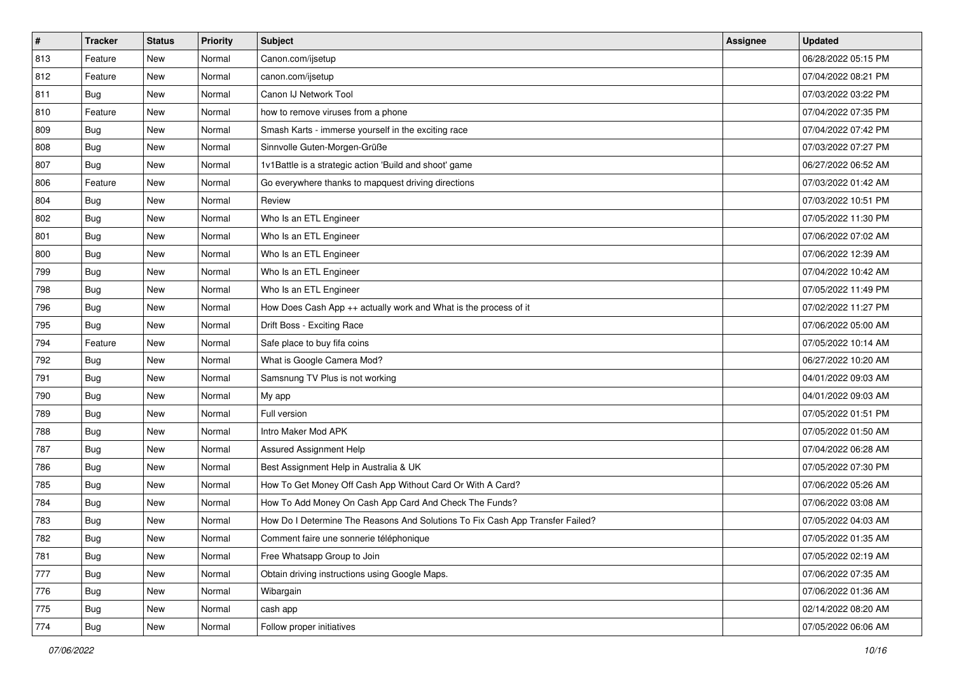| $\sharp$ | <b>Tracker</b> | <b>Status</b> | <b>Priority</b> | <b>Subject</b>                                                                | <b>Assignee</b> | <b>Updated</b>      |
|----------|----------------|---------------|-----------------|-------------------------------------------------------------------------------|-----------------|---------------------|
| 813      | Feature        | New           | Normal          | Canon.com/ijsetup                                                             |                 | 06/28/2022 05:15 PM |
| 812      | Feature        | New           | Normal          | canon.com/ijsetup                                                             |                 | 07/04/2022 08:21 PM |
| 811      | Bug            | New           | Normal          | Canon IJ Network Tool                                                         |                 | 07/03/2022 03:22 PM |
| 810      | Feature        | New           | Normal          | how to remove viruses from a phone                                            |                 | 07/04/2022 07:35 PM |
| 809      | Bug            | New           | Normal          | Smash Karts - immerse yourself in the exciting race                           |                 | 07/04/2022 07:42 PM |
| 808      | Bug            | New           | Normal          | Sinnvolle Guten-Morgen-Grüße                                                  |                 | 07/03/2022 07:27 PM |
| 807      | Bug            | New           | Normal          | 1v1Battle is a strategic action 'Build and shoot' game                        |                 | 06/27/2022 06:52 AM |
| 806      | Feature        | New           | Normal          | Go everywhere thanks to mapquest driving directions                           |                 | 07/03/2022 01:42 AM |
| 804      | <b>Bug</b>     | New           | Normal          | Review                                                                        |                 | 07/03/2022 10:51 PM |
| 802      | Bug            | New           | Normal          | Who Is an ETL Engineer                                                        |                 | 07/05/2022 11:30 PM |
| 801      | <b>Bug</b>     | New           | Normal          | Who Is an ETL Engineer                                                        |                 | 07/06/2022 07:02 AM |
| 800      | Bug            | New           | Normal          | Who Is an ETL Engineer                                                        |                 | 07/06/2022 12:39 AM |
| 799      | Bug            | New           | Normal          | Who Is an ETL Engineer                                                        |                 | 07/04/2022 10:42 AM |
| 798      | <b>Bug</b>     | New           | Normal          | Who Is an ETL Engineer                                                        |                 | 07/05/2022 11:49 PM |
| 796      | Bug            | New           | Normal          | How Does Cash App ++ actually work and What is the process of it              |                 | 07/02/2022 11:27 PM |
| 795      | <b>Bug</b>     | New           | Normal          | Drift Boss - Exciting Race                                                    |                 | 07/06/2022 05:00 AM |
| 794      | Feature        | New           | Normal          | Safe place to buy fifa coins                                                  |                 | 07/05/2022 10:14 AM |
| 792      | <b>Bug</b>     | New           | Normal          | What is Google Camera Mod?                                                    |                 | 06/27/2022 10:20 AM |
| 791      | Bug            | New           | Normal          | Samsnung TV Plus is not working                                               |                 | 04/01/2022 09:03 AM |
| 790      | <b>Bug</b>     | New           | Normal          | My app                                                                        |                 | 04/01/2022 09:03 AM |
| 789      | Bug            | New           | Normal          | Full version                                                                  |                 | 07/05/2022 01:51 PM |
| 788      | <b>Bug</b>     | New           | Normal          | Intro Maker Mod APK                                                           |                 | 07/05/2022 01:50 AM |
| 787      | Bug            | New           | Normal          | Assured Assignment Help                                                       |                 | 07/04/2022 06:28 AM |
| 786      | <b>Bug</b>     | New           | Normal          | Best Assignment Help in Australia & UK                                        |                 | 07/05/2022 07:30 PM |
| 785      | Bug            | New           | Normal          | How To Get Money Off Cash App Without Card Or With A Card?                    |                 | 07/06/2022 05:26 AM |
| 784      | <b>Bug</b>     | New           | Normal          | How To Add Money On Cash App Card And Check The Funds?                        |                 | 07/06/2022 03:08 AM |
| 783      | <b>Bug</b>     | New           | Normal          | How Do I Determine The Reasons And Solutions To Fix Cash App Transfer Failed? |                 | 07/05/2022 04:03 AM |
| 782      | I Bug          | New           | Normal          | Comment faire une sonnerie téléphonique                                       |                 | 07/05/2022 01:35 AM |
| 781      | <b>Bug</b>     | New           | Normal          | Free Whatsapp Group to Join                                                   |                 | 07/05/2022 02:19 AM |
| 777      | <b>Bug</b>     | New           | Normal          | Obtain driving instructions using Google Maps.                                |                 | 07/06/2022 07:35 AM |
| 776      | <b>Bug</b>     | New           | Normal          | Wibargain                                                                     |                 | 07/06/2022 01:36 AM |
| 775      | <b>Bug</b>     | New           | Normal          | cash app                                                                      |                 | 02/14/2022 08:20 AM |
| 774      | Bug            | New           | Normal          | Follow proper initiatives                                                     |                 | 07/05/2022 06:06 AM |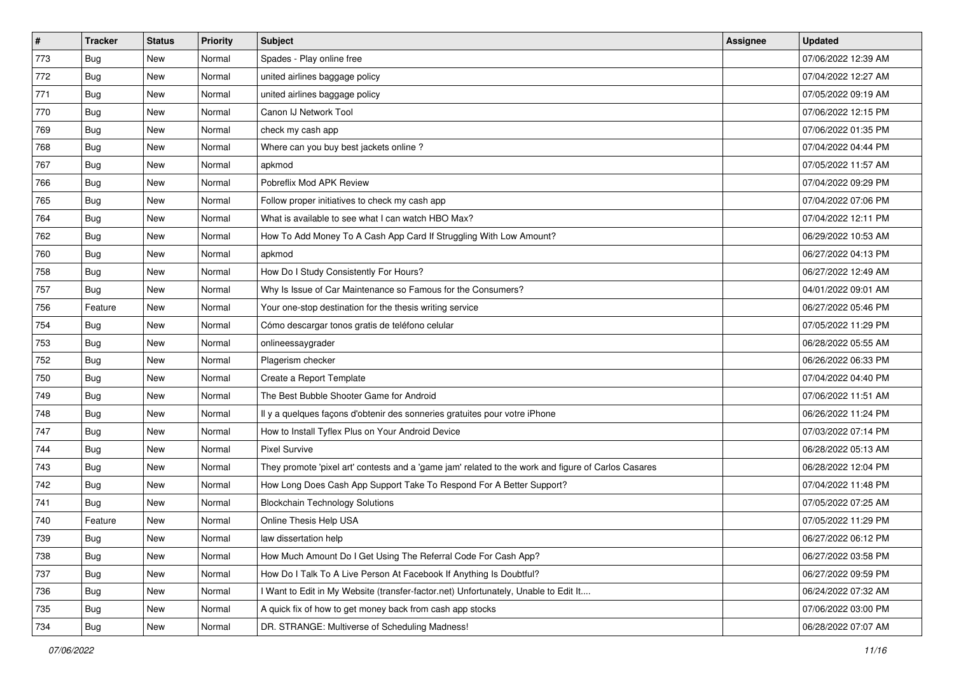| $\vert$ # | <b>Tracker</b> | <b>Status</b> | <b>Priority</b> | <b>Subject</b>                                                                                      | <b>Assignee</b> | <b>Updated</b>      |
|-----------|----------------|---------------|-----------------|-----------------------------------------------------------------------------------------------------|-----------------|---------------------|
| 773       | <b>Bug</b>     | New           | Normal          | Spades - Play online free                                                                           |                 | 07/06/2022 12:39 AM |
| 772       | <b>Bug</b>     | New           | Normal          | united airlines baggage policy                                                                      |                 | 07/04/2022 12:27 AM |
| 771       | <b>Bug</b>     | New           | Normal          | united airlines baggage policy                                                                      |                 | 07/05/2022 09:19 AM |
| 770       | Bug            | New           | Normal          | Canon IJ Network Tool                                                                               |                 | 07/06/2022 12:15 PM |
| 769       | Bug            | New           | Normal          | check my cash app                                                                                   |                 | 07/06/2022 01:35 PM |
| 768       | Bug            | New           | Normal          | Where can you buy best jackets online?                                                              |                 | 07/04/2022 04:44 PM |
| 767       | <b>Bug</b>     | New           | Normal          | apkmod                                                                                              |                 | 07/05/2022 11:57 AM |
| 766       | <b>Bug</b>     | New           | Normal          | Pobreflix Mod APK Review                                                                            |                 | 07/04/2022 09:29 PM |
| 765       | Bug            | New           | Normal          | Follow proper initiatives to check my cash app                                                      |                 | 07/04/2022 07:06 PM |
| 764       | Bug            | New           | Normal          | What is available to see what I can watch HBO Max?                                                  |                 | 07/04/2022 12:11 PM |
| 762       | <b>Bug</b>     | New           | Normal          | How To Add Money To A Cash App Card If Struggling With Low Amount?                                  |                 | 06/29/2022 10:53 AM |
| 760       | Bug            | New           | Normal          | apkmod                                                                                              |                 | 06/27/2022 04:13 PM |
| 758       | <b>Bug</b>     | New           | Normal          | How Do I Study Consistently For Hours?                                                              |                 | 06/27/2022 12:49 AM |
| 757       | <b>Bug</b>     | New           | Normal          | Why Is Issue of Car Maintenance so Famous for the Consumers?                                        |                 | 04/01/2022 09:01 AM |
| 756       | Feature        | New           | Normal          | Your one-stop destination for the thesis writing service                                            |                 | 06/27/2022 05:46 PM |
| 754       | <b>Bug</b>     | New           | Normal          | Cómo descargar tonos gratis de teléfono celular                                                     |                 | 07/05/2022 11:29 PM |
| 753       | <b>Bug</b>     | New           | Normal          | onlineessaygrader                                                                                   |                 | 06/28/2022 05:55 AM |
| 752       | Bug            | New           | Normal          | Plagerism checker                                                                                   |                 | 06/26/2022 06:33 PM |
| 750       | Bug            | New           | Normal          | Create a Report Template                                                                            |                 | 07/04/2022 04:40 PM |
| 749       | Bug            | New           | Normal          | The Best Bubble Shooter Game for Android                                                            |                 | 07/06/2022 11:51 AM |
| 748       | Bug            | New           | Normal          | Il y a quelques façons d'obtenir des sonneries gratuites pour votre iPhone                          |                 | 06/26/2022 11:24 PM |
| 747       | <b>Bug</b>     | New           | Normal          | How to Install Tyflex Plus on Your Android Device                                                   |                 | 07/03/2022 07:14 PM |
| 744       | <b>Bug</b>     | New           | Normal          | <b>Pixel Survive</b>                                                                                |                 | 06/28/2022 05:13 AM |
| 743       | <b>Bug</b>     | New           | Normal          | They promote 'pixel art' contests and a 'game jam' related to the work and figure of Carlos Casares |                 | 06/28/2022 12:04 PM |
| 742       | Bug            | New           | Normal          | How Long Does Cash App Support Take To Respond For A Better Support?                                |                 | 07/04/2022 11:48 PM |
| 741       | Bug            | New           | Normal          | <b>Blockchain Technology Solutions</b>                                                              |                 | 07/05/2022 07:25 AM |
| 740       | Feature        | New           | Normal          | Online Thesis Help USA                                                                              |                 | 07/05/2022 11:29 PM |
| 739       | <b>Bug</b>     | New           | Normal          | law dissertation help                                                                               |                 | 06/27/2022 06:12 PM |
| 738       | Bug            | New           | Normal          | How Much Amount Do I Get Using The Referral Code For Cash App?                                      |                 | 06/27/2022 03:58 PM |
| 737       | <b>Bug</b>     | New           | Normal          | How Do I Talk To A Live Person At Facebook If Anything Is Doubtful?                                 |                 | 06/27/2022 09:59 PM |
| 736       | <b>Bug</b>     | New           | Normal          | I Want to Edit in My Website (transfer-factor.net) Unfortunately, Unable to Edit It                 |                 | 06/24/2022 07:32 AM |
| 735       | <b>Bug</b>     | New           | Normal          | A quick fix of how to get money back from cash app stocks                                           |                 | 07/06/2022 03:00 PM |
| 734       | <b>Bug</b>     | New           | Normal          | DR. STRANGE: Multiverse of Scheduling Madness!                                                      |                 | 06/28/2022 07:07 AM |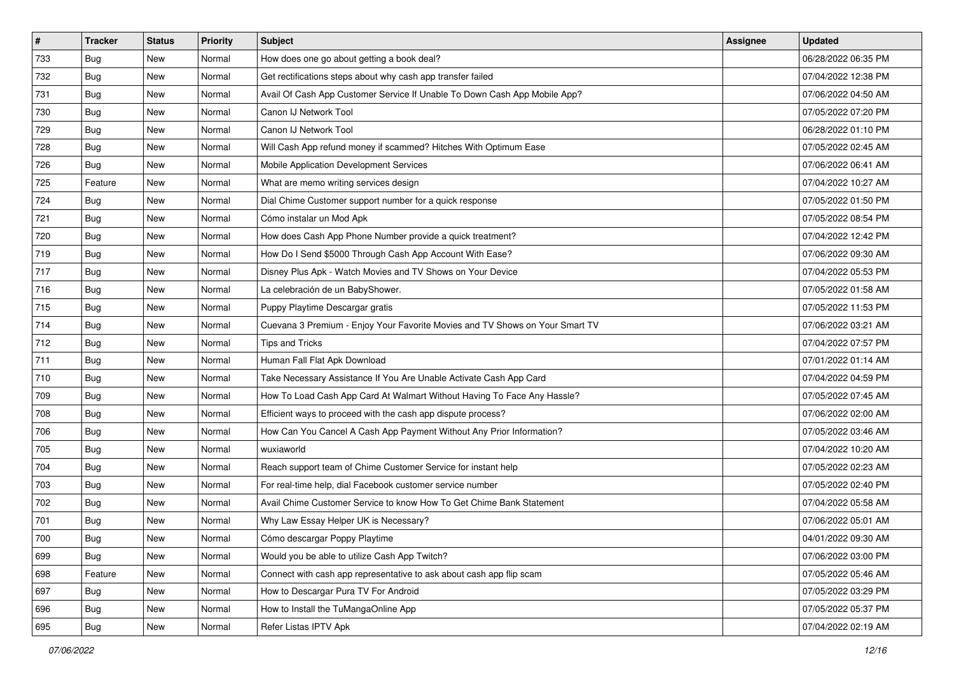| $\vert$ # | <b>Tracker</b> | <b>Status</b> | <b>Priority</b> | <b>Subject</b>                                                               | <b>Assignee</b> | <b>Updated</b>      |
|-----------|----------------|---------------|-----------------|------------------------------------------------------------------------------|-----------------|---------------------|
| 733       | <b>Bug</b>     | New           | Normal          | How does one go about getting a book deal?                                   |                 | 06/28/2022 06:35 PM |
| 732       | <b>Bug</b>     | New           | Normal          | Get rectifications steps about why cash app transfer failed                  |                 | 07/04/2022 12:38 PM |
| 731       | <b>Bug</b>     | New           | Normal          | Avail Of Cash App Customer Service If Unable To Down Cash App Mobile App?    |                 | 07/06/2022 04:50 AM |
| 730       | Bug            | New           | Normal          | Canon IJ Network Tool                                                        |                 | 07/05/2022 07:20 PM |
| 729       | Bug            | New           | Normal          | Canon IJ Network Tool                                                        |                 | 06/28/2022 01:10 PM |
| 728       | <b>Bug</b>     | New           | Normal          | Will Cash App refund money if scammed? Hitches With Optimum Ease             |                 | 07/05/2022 02:45 AM |
| 726       | <b>Bug</b>     | New           | Normal          | Mobile Application Development Services                                      |                 | 07/06/2022 06:41 AM |
| 725       | Feature        | New           | Normal          | What are memo writing services design                                        |                 | 07/04/2022 10:27 AM |
| 724       | <b>Bug</b>     | New           | Normal          | Dial Chime Customer support number for a quick response                      |                 | 07/05/2022 01:50 PM |
| 721       | Bug            | New           | Normal          | Cómo instalar un Mod Apk                                                     |                 | 07/05/2022 08:54 PM |
| 720       | <b>Bug</b>     | New           | Normal          | How does Cash App Phone Number provide a quick treatment?                    |                 | 07/04/2022 12:42 PM |
| 719       | Bug            | New           | Normal          | How Do I Send \$5000 Through Cash App Account With Ease?                     |                 | 07/06/2022 09:30 AM |
| 717       | <b>Bug</b>     | New           | Normal          | Disney Plus Apk - Watch Movies and TV Shows on Your Device                   |                 | 07/04/2022 05:53 PM |
| 716       | Bug            | New           | Normal          | La celebración de un BabyShower.                                             |                 | 07/05/2022 01:58 AM |
| 715       | <b>Bug</b>     | New           | Normal          | Puppy Playtime Descargar gratis                                              |                 | 07/05/2022 11:53 PM |
| 714       | <b>Bug</b>     | New           | Normal          | Cuevana 3 Premium - Enjoy Your Favorite Movies and TV Shows on Your Smart TV |                 | 07/06/2022 03:21 AM |
| 712       | <b>Bug</b>     | New           | Normal          | Tips and Tricks                                                              |                 | 07/04/2022 07:57 PM |
| 711       | <b>Bug</b>     | New           | Normal          | Human Fall Flat Apk Download                                                 |                 | 07/01/2022 01:14 AM |
| 710       | Bug            | New           | Normal          | Take Necessary Assistance If You Are Unable Activate Cash App Card           |                 | 07/04/2022 04:59 PM |
| 709       | <b>Bug</b>     | New           | Normal          | How To Load Cash App Card At Walmart Without Having To Face Any Hassle?      |                 | 07/05/2022 07:45 AM |
| 708       | <b>Bug</b>     | New           | Normal          | Efficient ways to proceed with the cash app dispute process?                 |                 | 07/06/2022 02:00 AM |
| 706       | <b>Bug</b>     | New           | Normal          | How Can You Cancel A Cash App Payment Without Any Prior Information?         |                 | 07/05/2022 03:46 AM |
| 705       | <b>Bug</b>     | New           | Normal          | wuxiaworld                                                                   |                 | 07/04/2022 10:20 AM |
| 704       | <b>Bug</b>     | New           | Normal          | Reach support team of Chime Customer Service for instant help                |                 | 07/05/2022 02:23 AM |
| 703       | Bug            | New           | Normal          | For real-time help, dial Facebook customer service number                    |                 | 07/05/2022 02:40 PM |
| 702       | Bug            | New           | Normal          | Avail Chime Customer Service to know How To Get Chime Bank Statement         |                 | 07/04/2022 05:58 AM |
| 701       | <b>Bug</b>     | New           | Normal          | Why Law Essay Helper UK is Necessary?                                        |                 | 07/06/2022 05:01 AM |
| 700       | I Bug          | New           | Normal          | Cómo descargar Poppy Playtime                                                |                 | 04/01/2022 09:30 AM |
| 699       | <b>Bug</b>     | New           | Normal          | Would you be able to utilize Cash App Twitch?                                |                 | 07/06/2022 03:00 PM |
| 698       | Feature        | New           | Normal          | Connect with cash app representative to ask about cash app flip scam         |                 | 07/05/2022 05:46 AM |
| 697       | <b>Bug</b>     | New           | Normal          | How to Descargar Pura TV For Android                                         |                 | 07/05/2022 03:29 PM |
| 696       | <b>Bug</b>     | New           | Normal          | How to Install the TuMangaOnline App                                         |                 | 07/05/2022 05:37 PM |
| 695       | <b>Bug</b>     | New           | Normal          | Refer Listas IPTV Apk                                                        |                 | 07/04/2022 02:19 AM |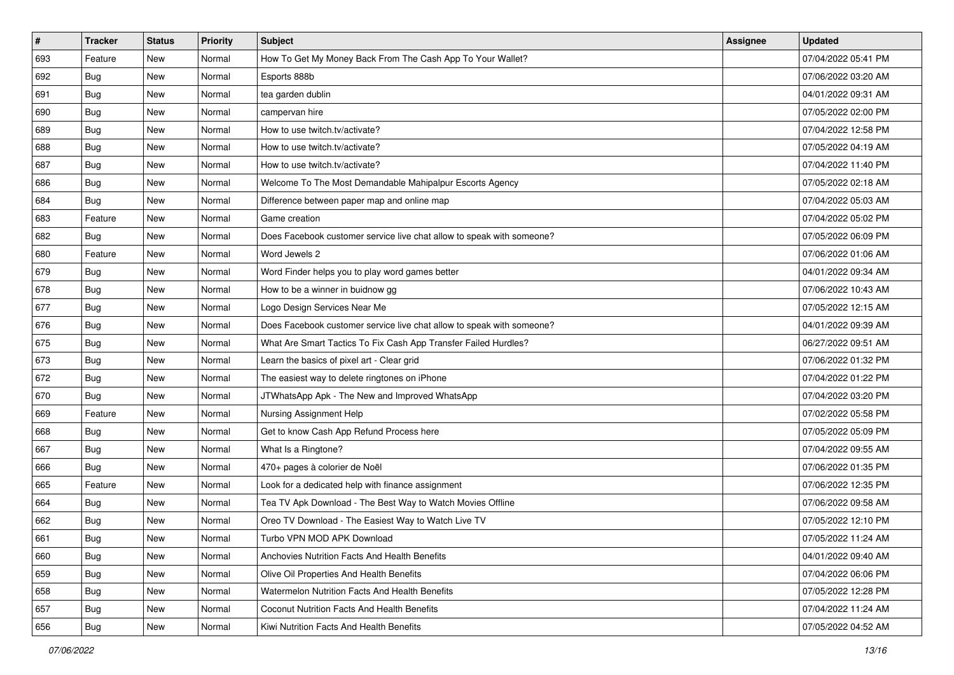| $\sharp$ | <b>Tracker</b> | <b>Status</b> | <b>Priority</b> | Subject                                                               | Assignee | <b>Updated</b>      |
|----------|----------------|---------------|-----------------|-----------------------------------------------------------------------|----------|---------------------|
| 693      | Feature        | New           | Normal          | How To Get My Money Back From The Cash App To Your Wallet?            |          | 07/04/2022 05:41 PM |
| 692      | Bug            | New           | Normal          | Esports 888b                                                          |          | 07/06/2022 03:20 AM |
| 691      | Bug            | New           | Normal          | tea garden dublin                                                     |          | 04/01/2022 09:31 AM |
| 690      | <b>Bug</b>     | New           | Normal          | campervan hire                                                        |          | 07/05/2022 02:00 PM |
| 689      | Bug            | New           | Normal          | How to use twitch.tv/activate?                                        |          | 07/04/2022 12:58 PM |
| 688      | <b>Bug</b>     | New           | Normal          | How to use twitch.tv/activate?                                        |          | 07/05/2022 04:19 AM |
| 687      | Bug            | New           | Normal          | How to use twitch.ty/activate?                                        |          | 07/04/2022 11:40 PM |
| 686      | Bug            | New           | Normal          | Welcome To The Most Demandable Mahipalpur Escorts Agency              |          | 07/05/2022 02:18 AM |
| 684      | Bug            | New           | Normal          | Difference between paper map and online map                           |          | 07/04/2022 05:03 AM |
| 683      | Feature        | New           | Normal          | Game creation                                                         |          | 07/04/2022 05:02 PM |
| 682      | <b>Bug</b>     | New           | Normal          | Does Facebook customer service live chat allow to speak with someone? |          | 07/05/2022 06:09 PM |
| 680      | Feature        | New           | Normal          | Word Jewels 2                                                         |          | 07/06/2022 01:06 AM |
| 679      | Bug            | New           | Normal          | Word Finder helps you to play word games better                       |          | 04/01/2022 09:34 AM |
| 678      | <b>Bug</b>     | New           | Normal          | How to be a winner in buidnow gg                                      |          | 07/06/2022 10:43 AM |
| 677      | <b>Bug</b>     | New           | Normal          | Logo Design Services Near Me                                          |          | 07/05/2022 12:15 AM |
| 676      | Bug            | New           | Normal          | Does Facebook customer service live chat allow to speak with someone? |          | 04/01/2022 09:39 AM |
| 675      | <b>Bug</b>     | New           | Normal          | What Are Smart Tactics To Fix Cash App Transfer Failed Hurdles?       |          | 06/27/2022 09:51 AM |
| 673      | Bug            | New           | Normal          | Learn the basics of pixel art - Clear grid                            |          | 07/06/2022 01:32 PM |
| 672      | <b>Bug</b>     | New           | Normal          | The easiest way to delete ringtones on iPhone                         |          | 07/04/2022 01:22 PM |
| 670      | Bug            | New           | Normal          | JTWhatsApp Apk - The New and Improved WhatsApp                        |          | 07/04/2022 03:20 PM |
| 669      | Feature        | New           | Normal          | Nursing Assignment Help                                               |          | 07/02/2022 05:58 PM |
| 668      | Bug            | New           | Normal          | Get to know Cash App Refund Process here                              |          | 07/05/2022 05:09 PM |
| 667      | Bug            | New           | Normal          | What Is a Ringtone?                                                   |          | 07/04/2022 09:55 AM |
| 666      | <b>Bug</b>     | New           | Normal          | 470+ pages à colorier de Noël                                         |          | 07/06/2022 01:35 PM |
| 665      | Feature        | New           | Normal          | Look for a dedicated help with finance assignment                     |          | 07/06/2022 12:35 PM |
| 664      | Bug            | New           | Normal          | Tea TV Apk Download - The Best Way to Watch Movies Offline            |          | 07/06/2022 09:58 AM |
| 662      | <b>Bug</b>     | New           | Normal          | Oreo TV Download - The Easiest Way to Watch Live TV                   |          | 07/05/2022 12:10 PM |
| 661      | <b>Bug</b>     | New           | Normal          | Turbo VPN MOD APK Download                                            |          | 07/05/2022 11:24 AM |
| 660      | Bug            | New           | Normal          | Anchovies Nutrition Facts And Health Benefits                         |          | 04/01/2022 09:40 AM |
| 659      | <b>Bug</b>     | New           | Normal          | Olive Oil Properties And Health Benefits                              |          | 07/04/2022 06:06 PM |
| 658      | Bug            | New           | Normal          | Watermelon Nutrition Facts And Health Benefits                        |          | 07/05/2022 12:28 PM |
| 657      | <b>Bug</b>     | New           | Normal          | Coconut Nutrition Facts And Health Benefits                           |          | 07/04/2022 11:24 AM |
| 656      | <b>Bug</b>     | New           | Normal          | Kiwi Nutrition Facts And Health Benefits                              |          | 07/05/2022 04:52 AM |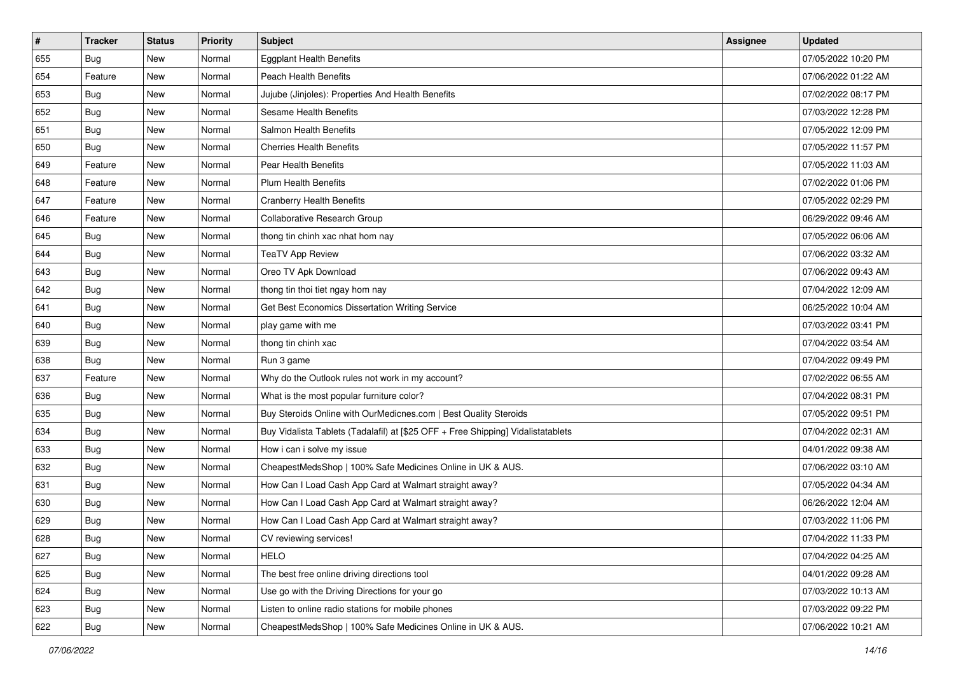| $\sharp$ | <b>Tracker</b> | <b>Status</b> | <b>Priority</b> | <b>Subject</b>                                                                   | <b>Assignee</b> | <b>Updated</b>      |
|----------|----------------|---------------|-----------------|----------------------------------------------------------------------------------|-----------------|---------------------|
| 655      | <b>Bug</b>     | New           | Normal          | <b>Eggplant Health Benefits</b>                                                  |                 | 07/05/2022 10:20 PM |
| 654      | Feature        | New           | Normal          | <b>Peach Health Benefits</b>                                                     |                 | 07/06/2022 01:22 AM |
| 653      | Bug            | New           | Normal          | Jujube (Jinjoles): Properties And Health Benefits                                |                 | 07/02/2022 08:17 PM |
| 652      | Bug            | New           | Normal          | <b>Sesame Health Benefits</b>                                                    |                 | 07/03/2022 12:28 PM |
| 651      | Bug            | New           | Normal          | Salmon Health Benefits                                                           |                 | 07/05/2022 12:09 PM |
| 650      | <b>Bug</b>     | New           | Normal          | <b>Cherries Health Benefits</b>                                                  |                 | 07/05/2022 11:57 PM |
| 649      | Feature        | New           | Normal          | Pear Health Benefits                                                             |                 | 07/05/2022 11:03 AM |
| 648      | Feature        | New           | Normal          | <b>Plum Health Benefits</b>                                                      |                 | 07/02/2022 01:06 PM |
| 647      | Feature        | New           | Normal          | <b>Cranberry Health Benefits</b>                                                 |                 | 07/05/2022 02:29 PM |
| 646      | Feature        | New           | Normal          | Collaborative Research Group                                                     |                 | 06/29/2022 09:46 AM |
| 645      | <b>Bug</b>     | New           | Normal          | thong tin chinh xac nhat hom nay                                                 |                 | 07/05/2022 06:06 AM |
| 644      | Bug            | New           | Normal          | <b>TeaTV App Review</b>                                                          |                 | 07/06/2022 03:32 AM |
| 643      | Bug            | New           | Normal          | Oreo TV Apk Download                                                             |                 | 07/06/2022 09:43 AM |
| 642      | Bug            | New           | Normal          | thong tin thoi tiet ngay hom nay                                                 |                 | 07/04/2022 12:09 AM |
| 641      | Bug            | New           | Normal          | Get Best Economics Dissertation Writing Service                                  |                 | 06/25/2022 10:04 AM |
| 640      | Bug            | New           | Normal          | play game with me                                                                |                 | 07/03/2022 03:41 PM |
| 639      | Bug            | New           | Normal          | thong tin chinh xac                                                              |                 | 07/04/2022 03:54 AM |
| 638      | Bug            | New           | Normal          | Run 3 game                                                                       |                 | 07/04/2022 09:49 PM |
| 637      | Feature        | New           | Normal          | Why do the Outlook rules not work in my account?                                 |                 | 07/02/2022 06:55 AM |
| 636      | Bug            | New           | Normal          | What is the most popular furniture color?                                        |                 | 07/04/2022 08:31 PM |
| 635      | Bug            | New           | Normal          | Buy Steroids Online with OurMedicnes.com   Best Quality Steroids                 |                 | 07/05/2022 09:51 PM |
| 634      | Bug            | New           | Normal          | Buy Vidalista Tablets (Tadalafil) at [\$25 OFF + Free Shipping] Vidalistatablets |                 | 07/04/2022 02:31 AM |
| 633      | Bug            | New           | Normal          | How i can i solve my issue                                                       |                 | 04/01/2022 09:38 AM |
| 632      | <b>Bug</b>     | New           | Normal          | CheapestMedsShop   100% Safe Medicines Online in UK & AUS.                       |                 | 07/06/2022 03:10 AM |
| 631      | Bug            | New           | Normal          | How Can I Load Cash App Card at Walmart straight away?                           |                 | 07/05/2022 04:34 AM |
| 630      | Bug            | New           | Normal          | How Can I Load Cash App Card at Walmart straight away?                           |                 | 06/26/2022 12:04 AM |
| 629      | <b>Bug</b>     | New           | Normal          | How Can I Load Cash App Card at Walmart straight away?                           |                 | 07/03/2022 11:06 PM |
| 628      | I Bug          | New           | Normal          | CV reviewing services!                                                           |                 | 07/04/2022 11:33 PM |
| 627      | <b>Bug</b>     | New           | Normal          | <b>HELO</b>                                                                      |                 | 07/04/2022 04:25 AM |
| 625      | <b>Bug</b>     | New           | Normal          | The best free online driving directions tool                                     |                 | 04/01/2022 09:28 AM |
| 624      | <b>Bug</b>     | New           | Normal          | Use go with the Driving Directions for your go                                   |                 | 07/03/2022 10:13 AM |
| 623      | Bug            | New           | Normal          | Listen to online radio stations for mobile phones                                |                 | 07/03/2022 09:22 PM |
| 622      | <b>Bug</b>     | New           | Normal          | CheapestMedsShop   100% Safe Medicines Online in UK & AUS.                       |                 | 07/06/2022 10:21 AM |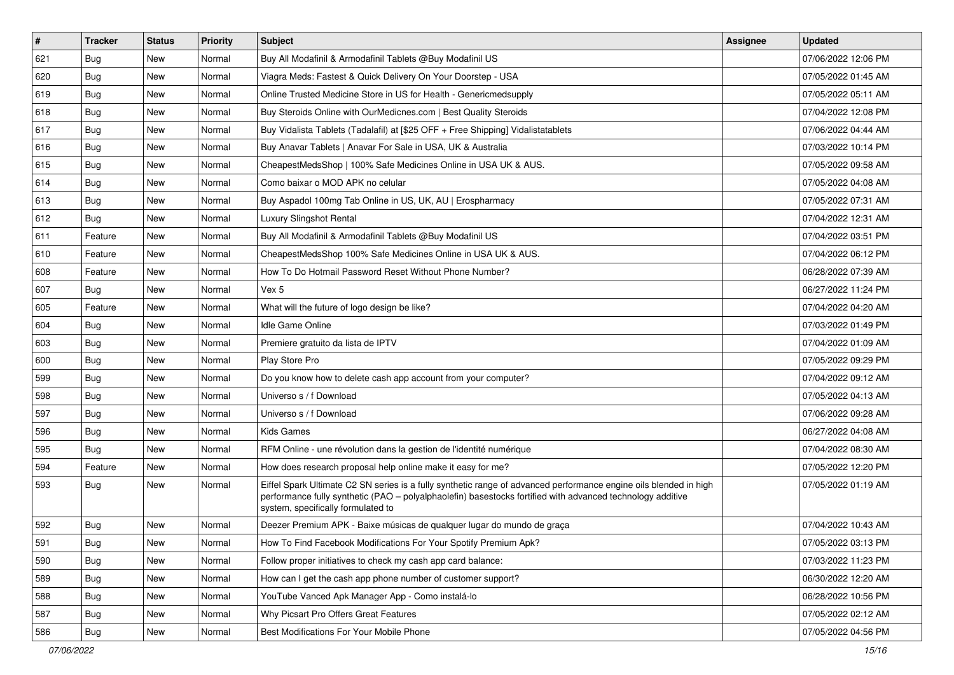| $\vert$ # | <b>Tracker</b> | <b>Status</b> | <b>Priority</b> | <b>Subject</b>                                                                                                                                                                                                                                                        | <b>Assignee</b> | <b>Updated</b>      |
|-----------|----------------|---------------|-----------------|-----------------------------------------------------------------------------------------------------------------------------------------------------------------------------------------------------------------------------------------------------------------------|-----------------|---------------------|
| 621       | <b>Bug</b>     | New           | Normal          | Buy All Modafinil & Armodafinil Tablets @Buy Modafinil US                                                                                                                                                                                                             |                 | 07/06/2022 12:06 PM |
| 620       | Bug            | New           | Normal          | Viagra Meds: Fastest & Quick Delivery On Your Doorstep - USA                                                                                                                                                                                                          |                 | 07/05/2022 01:45 AM |
| 619       | Bug            | New           | Normal          | Online Trusted Medicine Store in US for Health - Genericmedsupply                                                                                                                                                                                                     |                 | 07/05/2022 05:11 AM |
| 618       | <b>Bug</b>     | <b>New</b>    | Normal          | Buy Steroids Online with OurMedicnes.com   Best Quality Steroids                                                                                                                                                                                                      |                 | 07/04/2022 12:08 PM |
| 617       | Bug            | New           | Normal          | Buy Vidalista Tablets (Tadalafil) at [\$25 OFF + Free Shipping] Vidalistatablets                                                                                                                                                                                      |                 | 07/06/2022 04:44 AM |
| 616       | Bug            | New           | Normal          | Buy Anavar Tablets   Anavar For Sale in USA, UK & Australia                                                                                                                                                                                                           |                 | 07/03/2022 10:14 PM |
| 615       | <b>Bug</b>     | New           | Normal          | CheapestMedsShop   100% Safe Medicines Online in USA UK & AUS.                                                                                                                                                                                                        |                 | 07/05/2022 09:58 AM |
| 614       | <b>Bug</b>     | New           | Normal          | Como baixar o MOD APK no celular                                                                                                                                                                                                                                      |                 | 07/05/2022 04:08 AM |
| 613       | <b>Bug</b>     | New           | Normal          | Buy Aspadol 100mg Tab Online in US, UK, AU   Erospharmacy                                                                                                                                                                                                             |                 | 07/05/2022 07:31 AM |
| 612       | <b>Bug</b>     | New           | Normal          | Luxury Slingshot Rental                                                                                                                                                                                                                                               |                 | 07/04/2022 12:31 AM |
| 611       | Feature        | New           | Normal          | Buy All Modafinil & Armodafinil Tablets @Buy Modafinil US                                                                                                                                                                                                             |                 | 07/04/2022 03:51 PM |
| 610       | Feature        | New           | Normal          | CheapestMedsShop 100% Safe Medicines Online in USA UK & AUS.                                                                                                                                                                                                          |                 | 07/04/2022 06:12 PM |
| 608       | Feature        | New           | Normal          | How To Do Hotmail Password Reset Without Phone Number?                                                                                                                                                                                                                |                 | 06/28/2022 07:39 AM |
| 607       | <b>Bug</b>     | New           | Normal          | Vex 5                                                                                                                                                                                                                                                                 |                 | 06/27/2022 11:24 PM |
| 605       | Feature        | <b>New</b>    | Normal          | What will the future of logo design be like?                                                                                                                                                                                                                          |                 | 07/04/2022 04:20 AM |
| 604       | <b>Bug</b>     | New           | Normal          | <b>Idle Game Online</b>                                                                                                                                                                                                                                               |                 | 07/03/2022 01:49 PM |
| 603       | <b>Bug</b>     | New           | Normal          | Premiere gratuito da lista de IPTV                                                                                                                                                                                                                                    |                 | 07/04/2022 01:09 AM |
| 600       | Bug            | New           | Normal          | Play Store Pro                                                                                                                                                                                                                                                        |                 | 07/05/2022 09:29 PM |
| 599       | <b>Bug</b>     | New           | Normal          | Do you know how to delete cash app account from your computer?                                                                                                                                                                                                        |                 | 07/04/2022 09:12 AM |
| 598       | <b>Bug</b>     | New           | Normal          | Universo s / f Download                                                                                                                                                                                                                                               |                 | 07/05/2022 04:13 AM |
| 597       | <b>Bug</b>     | New           | Normal          | Universo s / f Download                                                                                                                                                                                                                                               |                 | 07/06/2022 09:28 AM |
| 596       | <b>Bug</b>     | New           | Normal          | Kids Games                                                                                                                                                                                                                                                            |                 | 06/27/2022 04:08 AM |
| 595       | Bug            | New           | Normal          | RFM Online - une révolution dans la gestion de l'identité numérique                                                                                                                                                                                                   |                 | 07/04/2022 08:30 AM |
| 594       | Feature        | New           | Normal          | How does research proposal help online make it easy for me?                                                                                                                                                                                                           |                 | 07/05/2022 12:20 PM |
| 593       | <b>Bug</b>     | New           | Normal          | Eiffel Spark Ultimate C2 SN series is a fully synthetic range of advanced performance engine oils blended in high<br>performance fully synthetic (PAO - polyalphaolefin) basestocks fortified with advanced technology additive<br>system, specifically formulated to |                 | 07/05/2022 01:19 AM |
| 592       | <b>Bug</b>     | New           | Normal          | Deezer Premium APK - Baixe músicas de qualquer lugar do mundo de graça                                                                                                                                                                                                |                 | 07/04/2022 10:43 AM |
| 591       | Bug            | New           | Normal          | How To Find Facebook Modifications For Your Spotify Premium Apk?                                                                                                                                                                                                      |                 | 07/05/2022 03:13 PM |
| 590       | Bug            | New           | Normal          | Follow proper initiatives to check my cash app card balance:                                                                                                                                                                                                          |                 | 07/03/2022 11:23 PM |
| 589       | <b>Bug</b>     | New           | Normal          | How can I get the cash app phone number of customer support?                                                                                                                                                                                                          |                 | 06/30/2022 12:20 AM |
| 588       | <b>Bug</b>     | New           | Normal          | YouTube Vanced Apk Manager App - Como instalá-lo                                                                                                                                                                                                                      |                 | 06/28/2022 10:56 PM |
| 587       | Bug            | New           | Normal          | Why Picsart Pro Offers Great Features                                                                                                                                                                                                                                 |                 | 07/05/2022 02:12 AM |
| 586       | <b>Bug</b>     | New           | Normal          | Best Modifications For Your Mobile Phone                                                                                                                                                                                                                              |                 | 07/05/2022 04:56 PM |